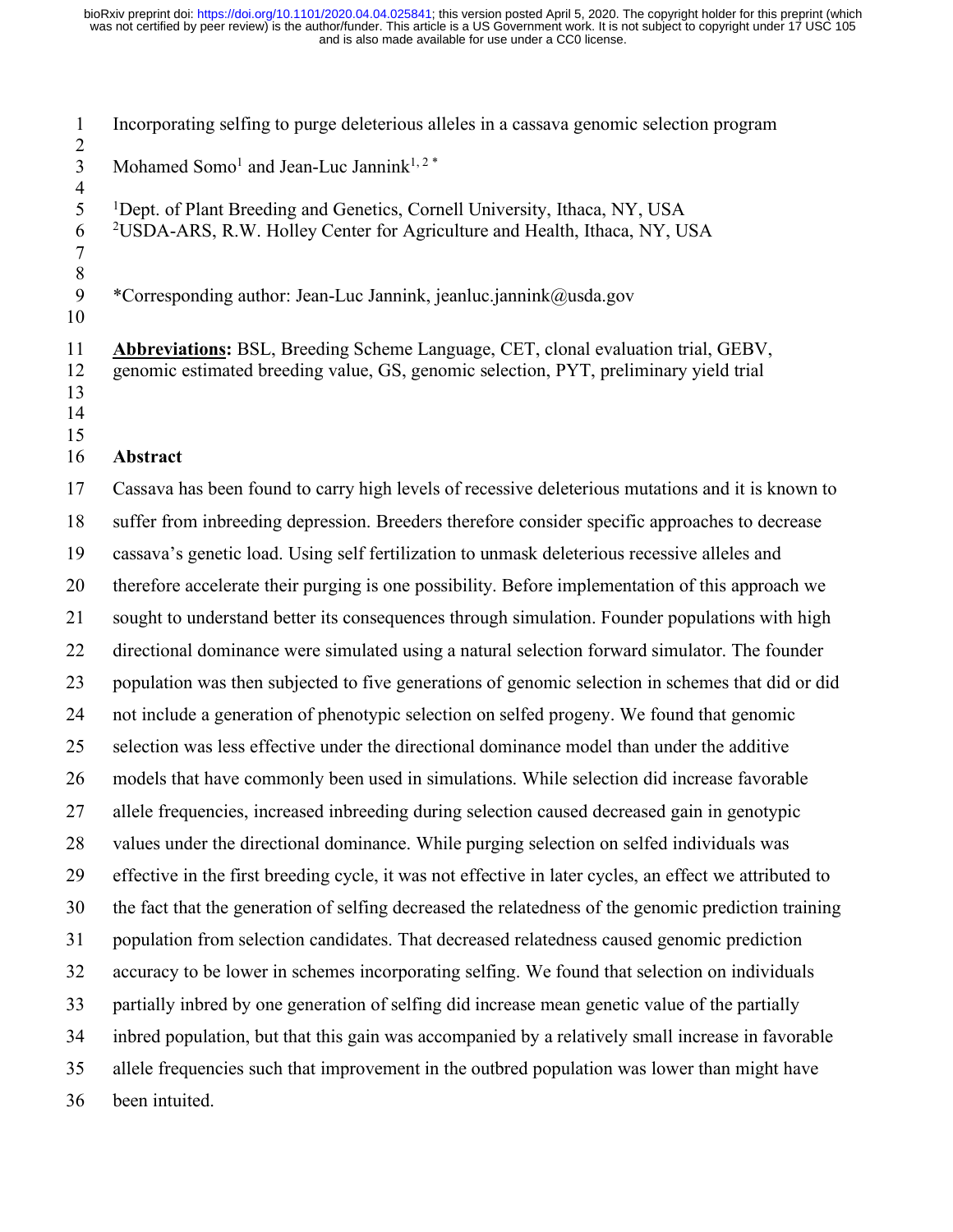Incorporating selfing to purge deleterious alleles in a cassava genomic selection program 3 Mohamed Somo<sup>1</sup> and Jean-Luc Jannink<sup>1, 2 \*</sup>

 Dept. of Plant Breeding and Genetics, Cornell University, Ithaca, NY, USA 2USDA-ARS, R.W. Holley Center for Agriculture and Health, Ithaca, NY, USA 

\*Corresponding author: Jean-Luc Jannink, jeanluc.jannink@usda.gov

 **Abbreviations:** BSL, Breeding Scheme Language, CET, clonal evaluation trial, GEBV, genomic estimated breeding value, GS, genomic selection, PYT, preliminary yield trial 

 

## **Abstract**

 Cassava has been found to carry high levels of recessive deleterious mutations and it is known to suffer from inbreeding depression. Breeders therefore consider specific approaches to decrease cassava's genetic load. Using self fertilization to unmask deleterious recessive alleles and therefore accelerate their purging is one possibility. Before implementation of this approach we sought to understand better its consequences through simulation. Founder populations with high directional dominance were simulated using a natural selection forward simulator. The founder population was then subjected to five generations of genomic selection in schemes that did or did not include a generation of phenotypic selection on selfed progeny. We found that genomic selection was less effective under the directional dominance model than under the additive models that have commonly been used in simulations. While selection did increase favorable allele frequencies, increased inbreeding during selection caused decreased gain in genotypic values under the directional dominance. While purging selection on selfed individuals was effective in the first breeding cycle, it was not effective in later cycles, an effect we attributed to the fact that the generation of selfing decreased the relatedness of the genomic prediction training population from selection candidates. That decreased relatedness caused genomic prediction accuracy to be lower in schemes incorporating selfing. We found that selection on individuals partially inbred by one generation of selfing did increase mean genetic value of the partially inbred population, but that this gain was accompanied by a relatively small increase in favorable allele frequencies such that improvement in the outbred population was lower than might have been intuited.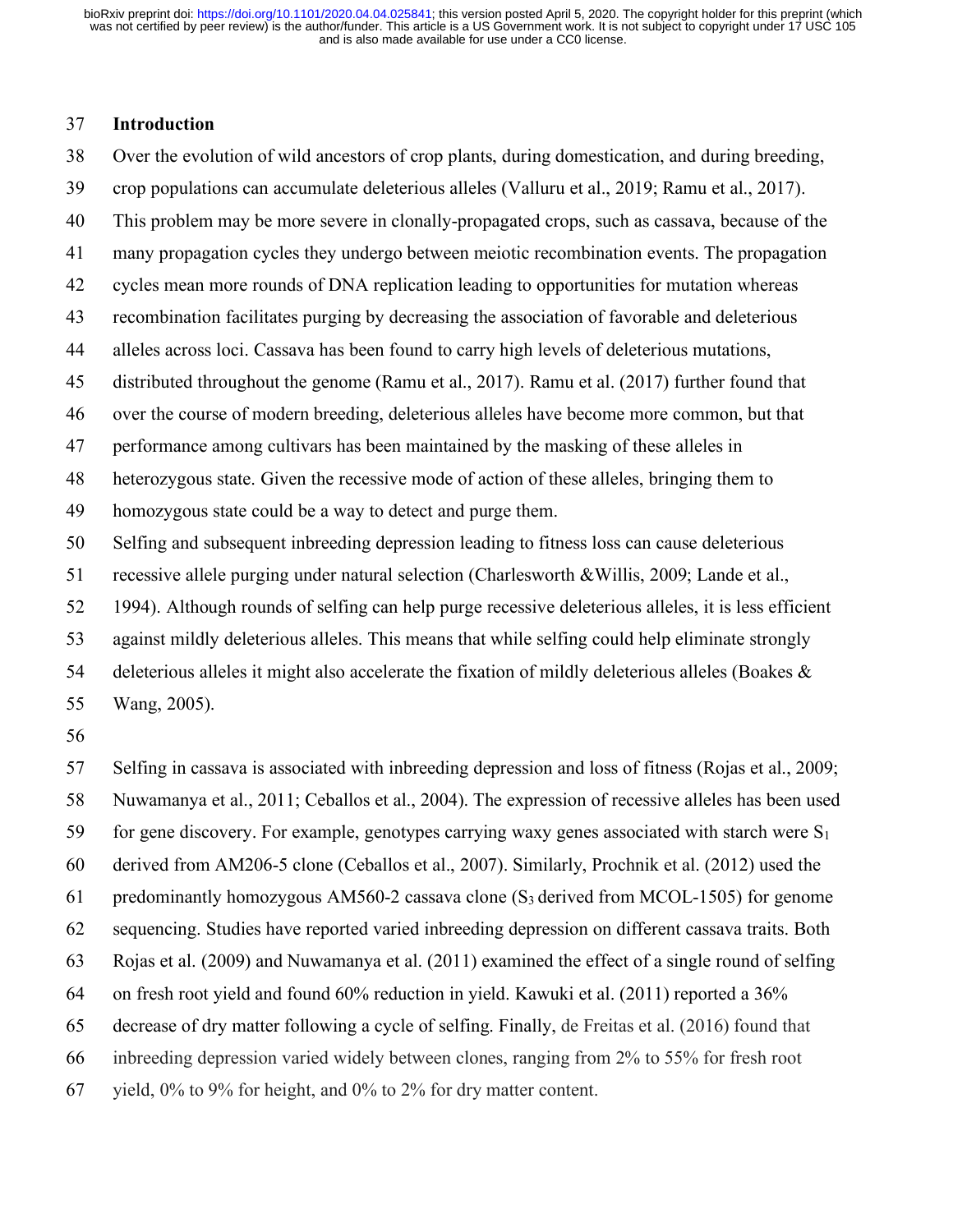### **Introduction**

Over the evolution of wild ancestors of crop plants, during domestication, and during breeding,

- crop populations can accumulate deleterious alleles (Valluru et al., 2019; Ramu et al., 2017).
- This problem may be more severe in clonally-propagated crops, such as cassava, because of the

many propagation cycles they undergo between meiotic recombination events. The propagation

- cycles mean more rounds of DNA replication leading to opportunities for mutation whereas
- recombination facilitates purging by decreasing the association of favorable and deleterious
- alleles across loci. Cassava has been found to carry high levels of deleterious mutations,
- distributed throughout the genome (Ramu et al., 2017). Ramu et al. (2017) further found that
- over the course of modern breeding, deleterious alleles have become more common, but that
- performance among cultivars has been maintained by the masking of these alleles in

heterozygous state. Given the recessive mode of action of these alleles, bringing them to

- homozygous state could be a way to detect and purge them.
- Selfing and subsequent inbreeding depression leading to fitness loss can cause deleterious
- recessive allele purging under natural selection (Charlesworth &Willis, 2009; Lande et al.,
- 1994). Although rounds of selfing can help purge recessive deleterious alleles, it is less efficient
- against mildly deleterious alleles. This means that while selfing could help eliminate strongly
- 54 deleterious alleles it might also accelerate the fixation of mildly deleterious alleles (Boakes &

Wang, 2005).

Selfing in cassava is associated with inbreeding depression and loss of fitness (Rojas et al., 2009;

Nuwamanya et al., 2011; Ceballos et al., 2004). The expression of recessive alleles has been used

- 59 for gene discovery. For example, genotypes carrying waxy genes associated with starch were  $S_1$
- derived from AM206-5 clone (Ceballos et al., 2007). Similarly, Prochnik et al. (2012) used the

61 predominantly homozygous AM560-2 cassava clone  $(S_3$  derived from MCOL-1505) for genome

sequencing. Studies have reported varied inbreeding depression on different cassava traits. Both

Rojas et al. (2009) and Nuwamanya et al. (2011) examined the effect of a single round of selfing

- on fresh root yield and found 60% reduction in yield. Kawuki et al. (2011) reported a 36%
- decrease of dry matter following a cycle of selfing. Finally, de Freitas et al. (2016) found that
- inbreeding depression varied widely between clones, ranging from 2% to 55% for fresh root
- yield, 0% to 9% for height, and 0% to 2% for dry matter content.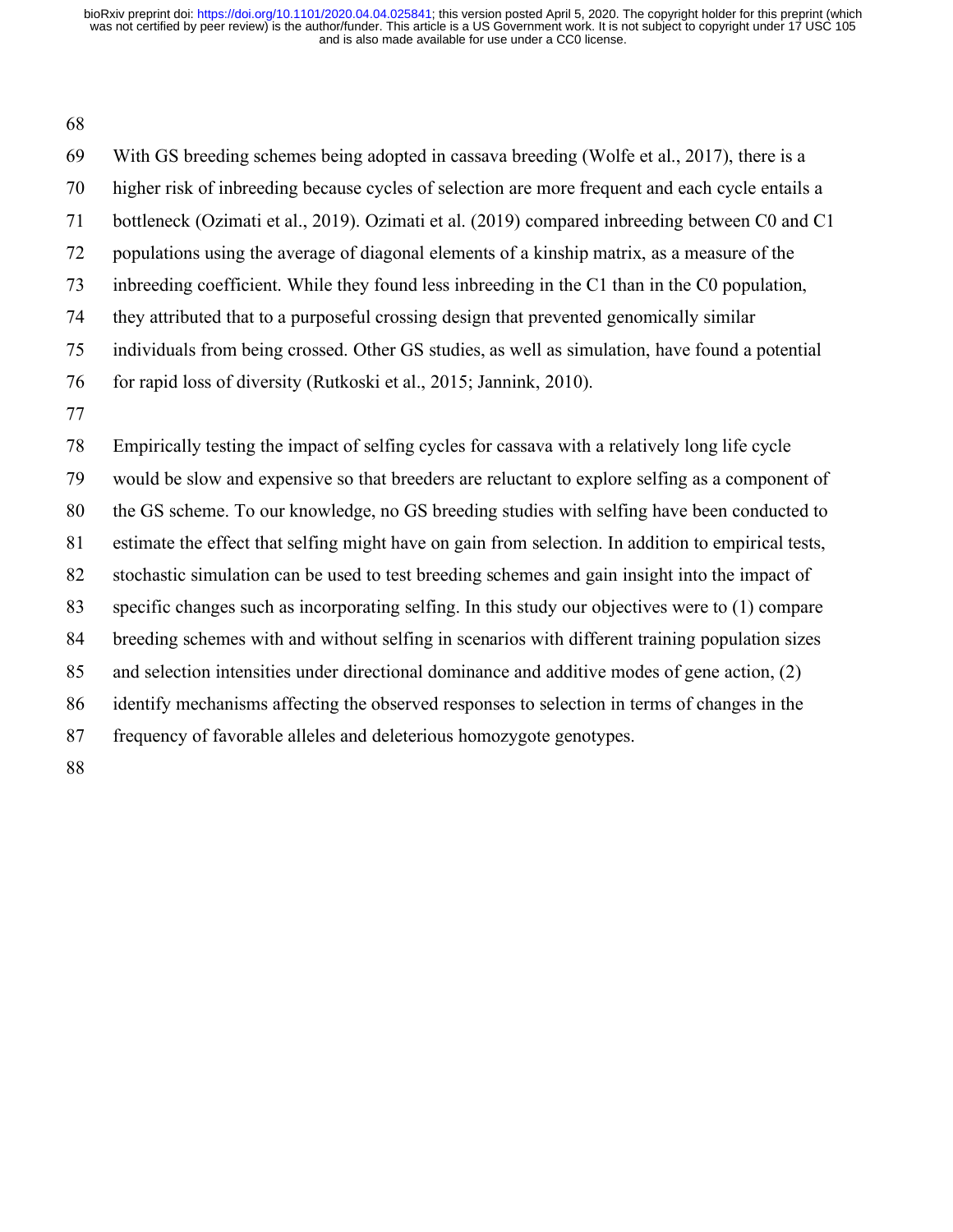#### 

 With GS breeding schemes being adopted in cassava breeding (Wolfe et al., 2017), there is a higher risk of inbreeding because cycles of selection are more frequent and each cycle entails a bottleneck (Ozimati et al., 2019). Ozimati et al. (2019) compared inbreeding between C0 and C1 populations using the average of diagonal elements of a kinship matrix, as a measure of the inbreeding coefficient. While they found less inbreeding in the C1 than in the C0 population, they attributed that to a purposeful crossing design that prevented genomically similar individuals from being crossed. Other GS studies, as well as simulation, have found a potential for rapid loss of diversity (Rutkoski et al., 2015; Jannink, 2010). Empirically testing the impact of selfing cycles for cassava with a relatively long life cycle would be slow and expensive so that breeders are reluctant to explore selfing as a component of the GS scheme. To our knowledge, no GS breeding studies with selfing have been conducted to estimate the effect that selfing might have on gain from selection. In addition to empirical tests, stochastic simulation can be used to test breeding schemes and gain insight into the impact of specific changes such as incorporating selfing. In this study our objectives were to (1) compare breeding schemes with and without selfing in scenarios with different training population sizes and selection intensities under directional dominance and additive modes of gene action, (2) identify mechanisms affecting the observed responses to selection in terms of changes in the frequency of favorable alleles and deleterious homozygote genotypes.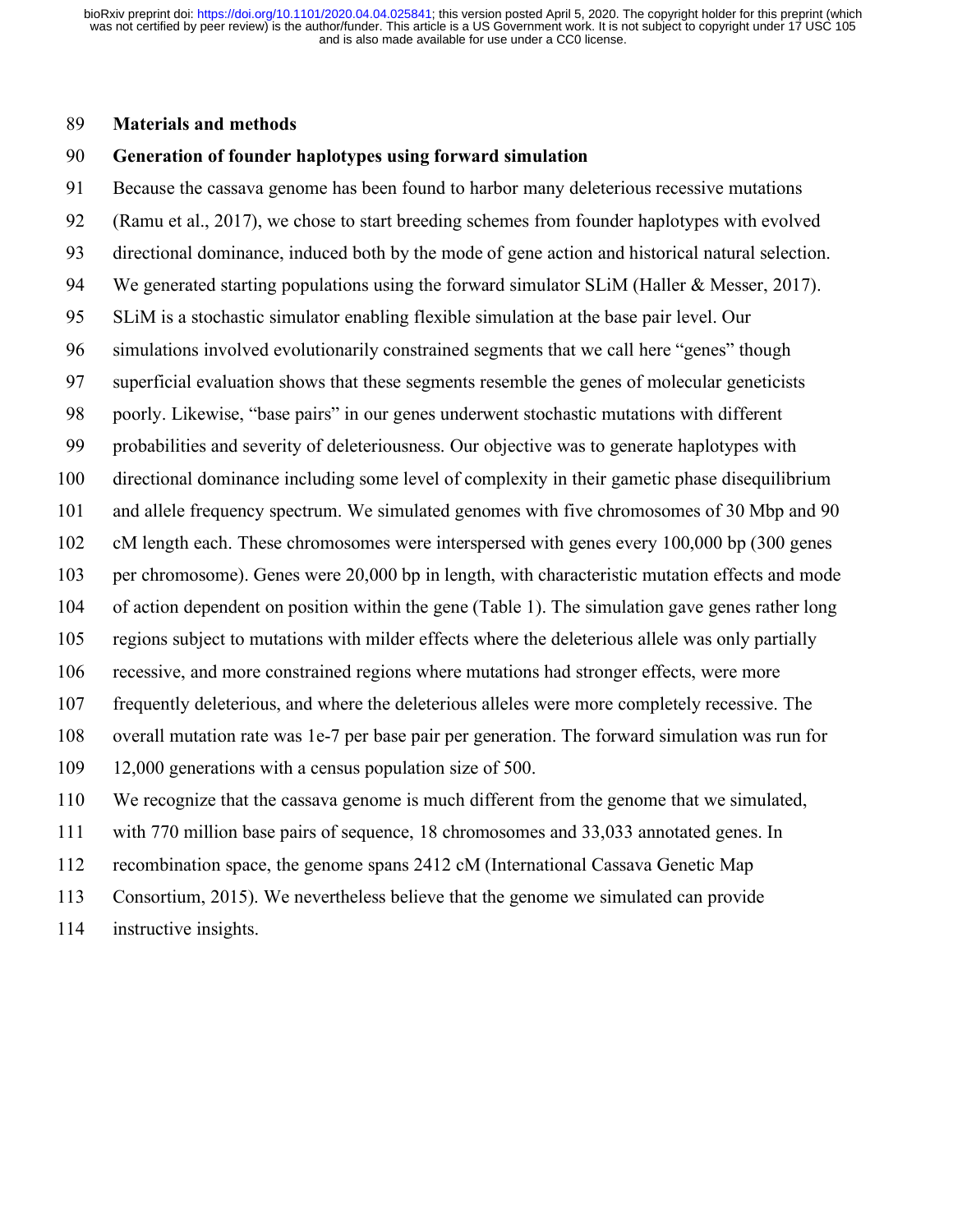### **Materials and methods**

### **Generation of founder haplotypes using forward simulation**

 Because the cassava genome has been found to harbor many deleterious recessive mutations (Ramu et al., 2017), we chose to start breeding schemes from founder haplotypes with evolved directional dominance, induced both by the mode of gene action and historical natural selection. We generated starting populations using the forward simulator SLiM (Haller & Messer, 2017). SLiM is a stochastic simulator enabling flexible simulation at the base pair level. Our simulations involved evolutionarily constrained segments that we call here "genes" though superficial evaluation shows that these segments resemble the genes of molecular geneticists poorly. Likewise, "base pairs" in our genes underwent stochastic mutations with different probabilities and severity of deleteriousness. Our objective was to generate haplotypes with directional dominance including some level of complexity in their gametic phase disequilibrium and allele frequency spectrum. We simulated genomes with five chromosomes of 30 Mbp and 90 cM length each. These chromosomes were interspersed with genes every 100,000 bp (300 genes per chromosome). Genes were 20,000 bp in length, with characteristic mutation effects and mode of action dependent on position within the gene (Table 1). The simulation gave genes rather long regions subject to mutations with milder effects where the deleterious allele was only partially recessive, and more constrained regions where mutations had stronger effects, were more frequently deleterious, and where the deleterious alleles were more completely recessive. The overall mutation rate was 1e-7 per base pair per generation. The forward simulation was run for 12,000 generations with a census population size of 500. We recognize that the cassava genome is much different from the genome that we simulated, with 770 million base pairs of sequence, 18 chromosomes and 33,033 annotated genes. In

recombination space, the genome spans 2412 cM (International Cassava Genetic Map

Consortium, 2015). We nevertheless believe that the genome we simulated can provide

instructive insights.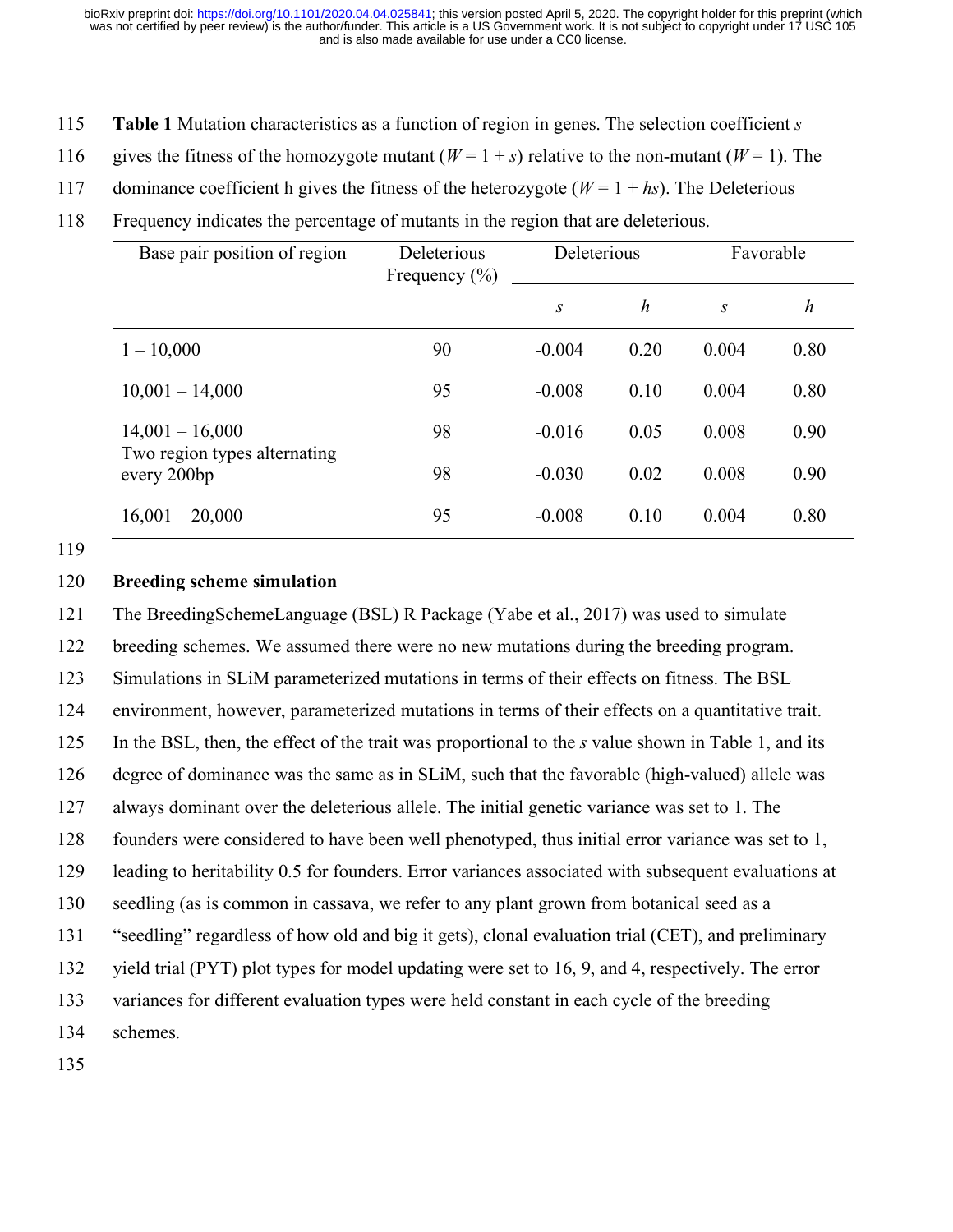- 115 **Table 1** Mutation characteristics as a function of region in genes. The selection coefficient *s*
- 116 gives the fitness of the homozygote mutant  $(W=1+s)$  relative to the non-mutant  $(W=1)$ . The
- 117 dominance coefficient h gives the fitness of the heterozygote ( $W = 1 + h<sub>S</sub>$ ). The Deleterious
- 118 Frequency indicates the percentage of mutants in the region that are deleterious.

| Base pair position of region                                     | Deleterious<br>Frequency $(\% )$ | Deleterious |                  | Favorable        |                  |
|------------------------------------------------------------------|----------------------------------|-------------|------------------|------------------|------------------|
|                                                                  |                                  | S           | $\boldsymbol{h}$ | $\boldsymbol{S}$ | $\boldsymbol{h}$ |
| $1 - 10,000$                                                     | 90                               | $-0.004$    | 0.20             | 0.004            | 0.80             |
| $10,001 - 14,000$                                                | 95                               | $-0.008$    | 0.10             | 0.004            | 0.80             |
| $14,001 - 16,000$<br>Two region types alternating<br>every 200bp | 98                               | $-0.016$    | 0.05             | 0.008            | 0.90             |
|                                                                  | 98                               | $-0.030$    | 0.02             | 0.008            | 0.90             |
| $16,001 - 20,000$                                                | 95                               | $-0.008$    | 0.10             | 0.004            | 0.80             |

119

## 120 **Breeding scheme simulation**

121 The BreedingSchemeLanguage (BSL) R Package (Yabe et al., 2017) was used to simulate 122 breeding schemes. We assumed there were no new mutations during the breeding program.

123 Simulations in SLiM parameterized mutations in terms of their effects on fitness. The BSL

124 environment, however, parameterized mutations in terms of their effects on a quantitative trait.

125 In the BSL, then, the effect of the trait was proportional to the *s* value shown in Table 1, and its

126 degree of dominance was the same as in SLiM, such that the favorable (high-valued) allele was

127 always dominant over the deleterious allele. The initial genetic variance was set to 1. The

128 founders were considered to have been well phenotyped, thus initial error variance was set to 1,

129 leading to heritability 0.5 for founders. Error variances associated with subsequent evaluations at

130 seedling (as is common in cassava, we refer to any plant grown from botanical seed as a

131 "seedling" regardless of how old and big it gets), clonal evaluation trial (CET), and preliminary

132 yield trial (PYT) plot types for model updating were set to 16, 9, and 4, respectively. The error

133 variances for different evaluation types were held constant in each cycle of the breeding

134 schemes.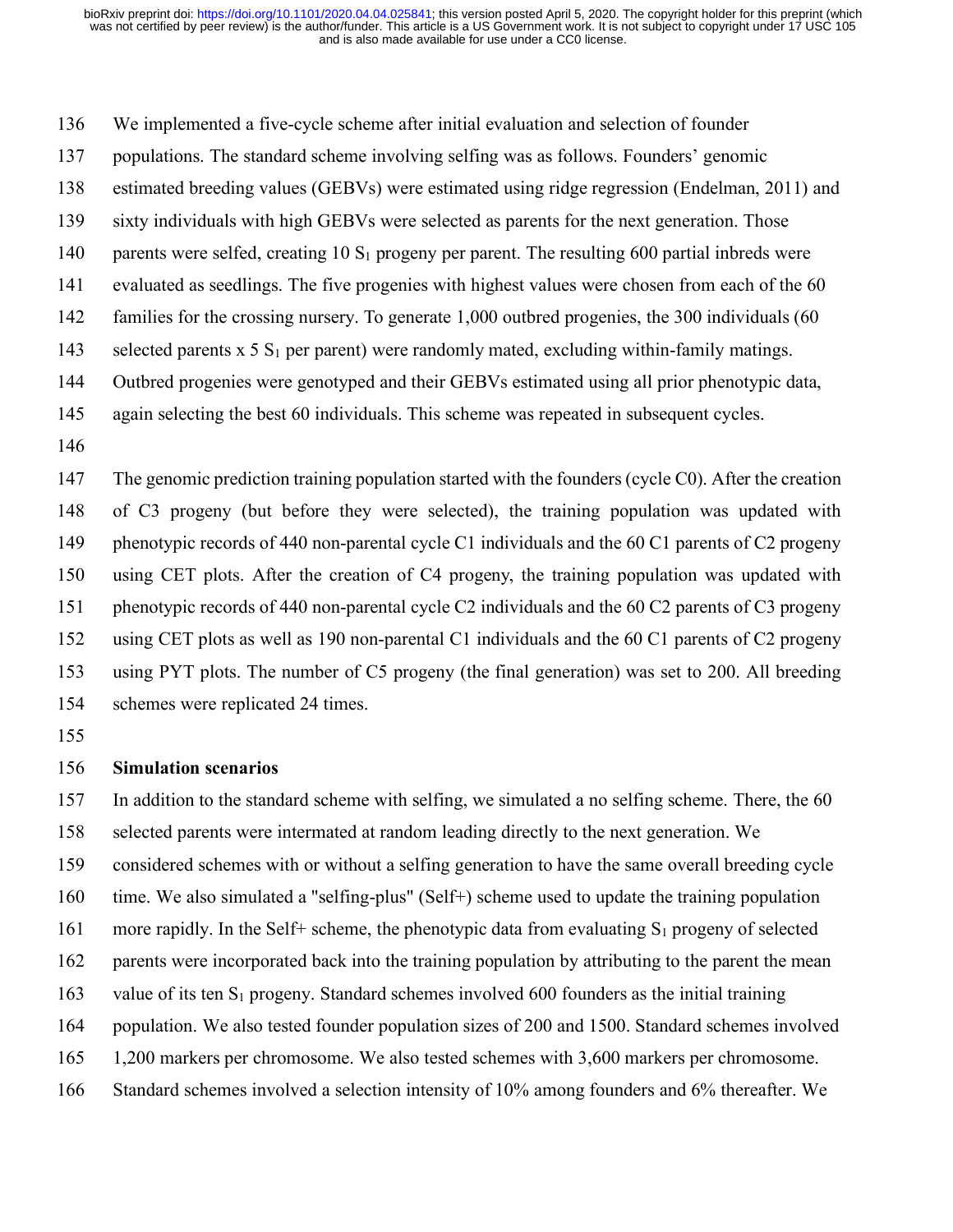We implemented a five-cycle scheme after initial evaluation and selection of founder

populations. The standard scheme involving selfing was as follows. Founders' genomic

estimated breeding values (GEBVs) were estimated using ridge regression (Endelman, 2011) and

- sixty individuals with high GEBVs were selected as parents for the next generation. Those
- 140 parents were selfed, creating  $10 S_1$  progeny per parent. The resulting 600 partial inbreds were
- evaluated as seedlings. The five progenies with highest values were chosen from each of the 60
- families for the crossing nursery. To generate 1,000 outbred progenies, the 300 individuals (60
- 143 selected parents  $x$  5  $S_1$  per parent) were randomly mated, excluding within-family matings.
- Outbred progenies were genotyped and their GEBVs estimated using all prior phenotypic data,
- again selecting the best 60 individuals. This scheme was repeated in subsequent cycles.
- 

 The genomic prediction training population started with the founders (cycle C0). After the creation of C3 progeny (but before they were selected), the training population was updated with 149 phenotypic records of 440 non-parental cycle C1 individuals and the 60 C1 parents of C2 progeny using CET plots. After the creation of C4 progeny, the training population was updated with phenotypic records of 440 non-parental cycle C2 individuals and the 60 C2 parents of C3 progeny using CET plots as well as 190 non-parental C1 individuals and the 60 C1 parents of C2 progeny using PYT plots. The number of C5 progeny (the final generation) was set to 200. All breeding schemes were replicated 24 times.

## **Simulation scenarios**

In addition to the standard scheme with selfing, we simulated a no selfing scheme. There, the 60

selected parents were intermated at random leading directly to the next generation. We

considered schemes with or without a selfing generation to have the same overall breeding cycle

time. We also simulated a "selfing-plus" (Self+) scheme used to update the training population

161 more rapidly. In the Self+ scheme, the phenotypic data from evaluating  $S_1$  progeny of selected

parents were incorporated back into the training population by attributing to the parent the mean

- 163 value of its ten  $S_1$  progeny. Standard schemes involved 600 founders as the initial training
- population. We also tested founder population sizes of 200 and 1500. Standard schemes involved
- 1,200 markers per chromosome. We also tested schemes with 3,600 markers per chromosome.
- Standard schemes involved a selection intensity of 10% among founders and 6% thereafter. We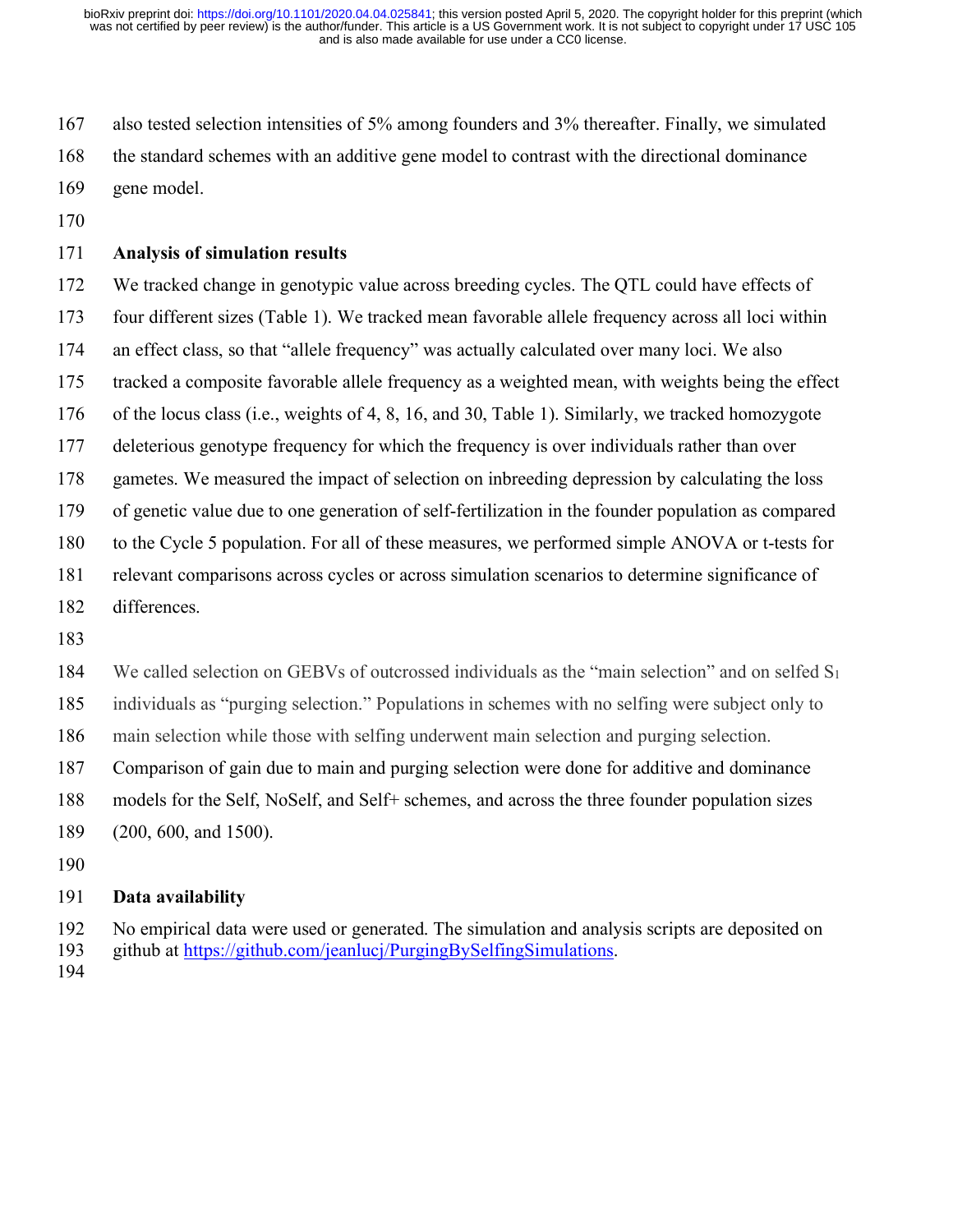also tested selection intensities of 5% among founders and 3% thereafter. Finally, we simulated the standard schemes with an additive gene model to contrast with the directional dominance gene model.

## **Analysis of simulation results**

 We tracked change in genotypic value across breeding cycles. The QTL could have effects of four different sizes (Table 1). We tracked mean favorable allele frequency across all loci within an effect class, so that "allele frequency" was actually calculated over many loci. We also tracked a composite favorable allele frequency as a weighted mean, with weights being the effect of the locus class (i.e., weights of 4, 8, 16, and 30, Table 1). Similarly, we tracked homozygote deleterious genotype frequency for which the frequency is over individuals rather than over gametes. We measured the impact of selection on inbreeding depression by calculating the loss of genetic value due to one generation of self-fertilization in the founder population as compared to the Cycle 5 population. For all of these measures, we performed simple ANOVA or t-tests for relevant comparisons across cycles or across simulation scenarios to determine significance of differences.

184 We called selection on GEBVs of outcrossed individuals as the "main selection" and on selfed S<sub>1</sub>

individuals as "purging selection." Populations in schemes with no selfing were subject only to

main selection while those with selfing underwent main selection and purging selection.

Comparison of gain due to main and purging selection were done for additive and dominance

models for the Self, NoSelf, and Self+ schemes, and across the three founder population sizes

(200, 600, and 1500).

## **Data availability**

 No empirical data were used or generated. The simulation and analysis scripts are deposited on github at https://github.com/jeanlucj/PurgingBySelfingSimulations.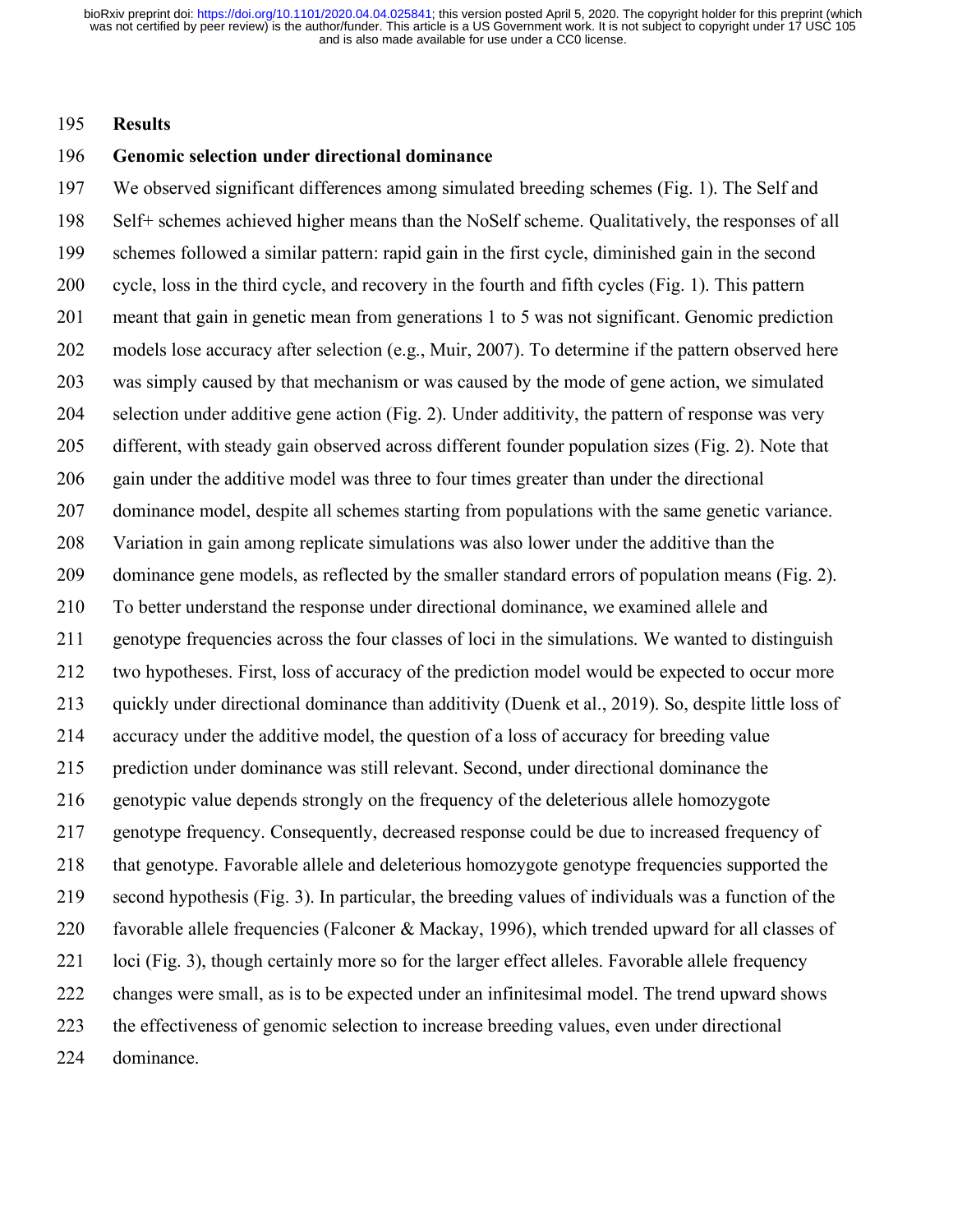#### **Results**

### **Genomic selection under directional dominance**

 We observed significant differences among simulated breeding schemes (Fig. 1). The Self and Self+ schemes achieved higher means than the NoSelf scheme. Qualitatively, the responses of all schemes followed a similar pattern: rapid gain in the first cycle, diminished gain in the second cycle, loss in the third cycle, and recovery in the fourth and fifth cycles (Fig. 1). This pattern meant that gain in genetic mean from generations 1 to 5 was not significant. Genomic prediction models lose accuracy after selection (e.g., Muir, 2007). To determine if the pattern observed here was simply caused by that mechanism or was caused by the mode of gene action, we simulated selection under additive gene action (Fig. 2). Under additivity, the pattern of response was very different, with steady gain observed across different founder population sizes (Fig. 2). Note that gain under the additive model was three to four times greater than under the directional dominance model, despite all schemes starting from populations with the same genetic variance. Variation in gain among replicate simulations was also lower under the additive than the dominance gene models, as reflected by the smaller standard errors of population means (Fig. 2). To better understand the response under directional dominance, we examined allele and genotype frequencies across the four classes of loci in the simulations. We wanted to distinguish two hypotheses. First, loss of accuracy of the prediction model would be expected to occur more quickly under directional dominance than additivity (Duenk et al., 2019). So, despite little loss of accuracy under the additive model, the question of a loss of accuracy for breeding value prediction under dominance was still relevant. Second, under directional dominance the genotypic value depends strongly on the frequency of the deleterious allele homozygote genotype frequency. Consequently, decreased response could be due to increased frequency of that genotype. Favorable allele and deleterious homozygote genotype frequencies supported the second hypothesis (Fig. 3). In particular, the breeding values of individuals was a function of the favorable allele frequencies (Falconer & Mackay, 1996), which trended upward for all classes of loci (Fig. 3), though certainly more so for the larger effect alleles. Favorable allele frequency changes were small, as is to be expected under an infinitesimal model. The trend upward shows the effectiveness of genomic selection to increase breeding values, even under directional dominance.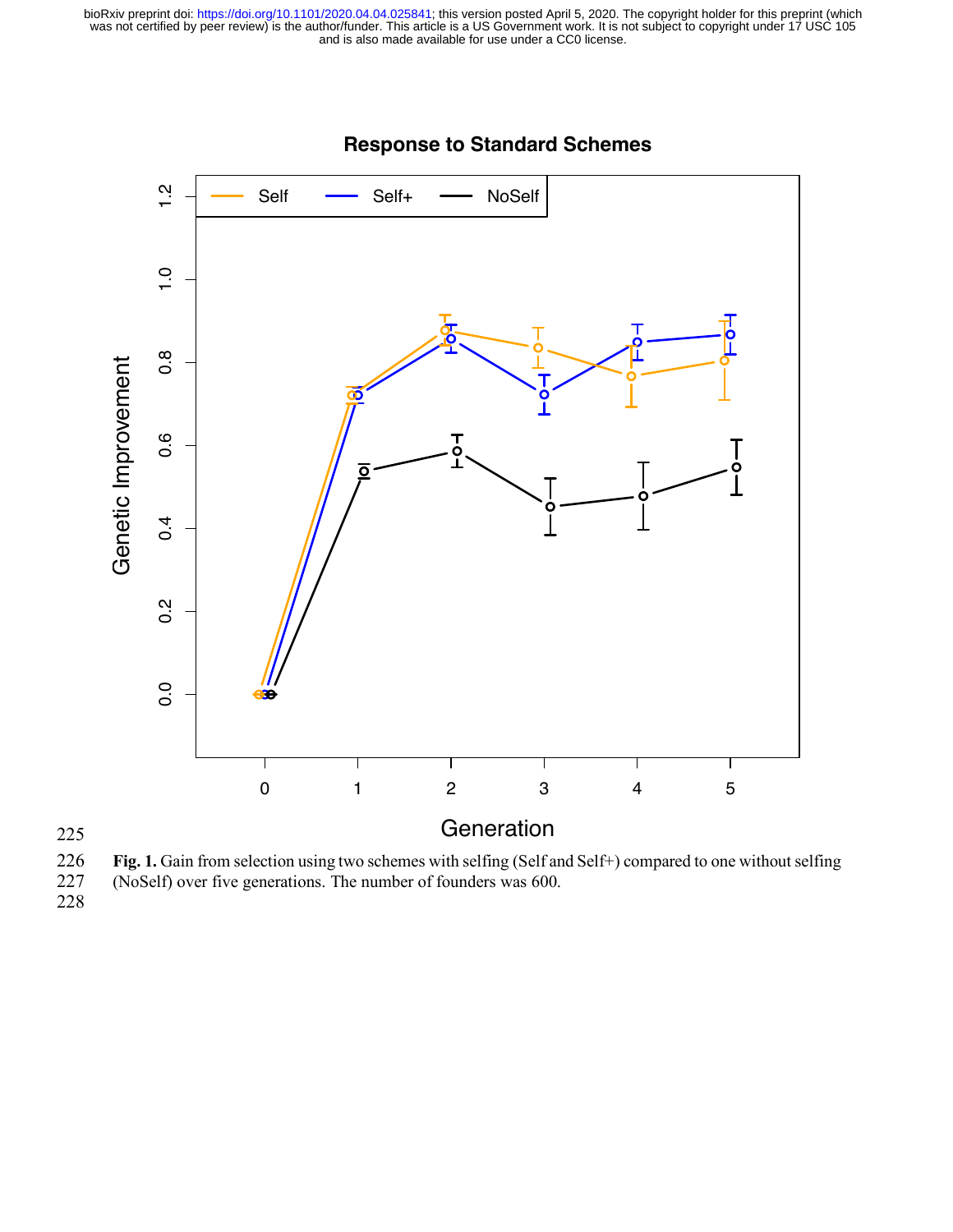

# **Response to Standard Schemes**

**Fig. 1.** Gain from selection using two schemes with selfing (Self and Self+) compared to one without selfing (NoSelf) over five generations. The number of founders was 600. (NoSelf) over five generations. The number of founders was 600.

228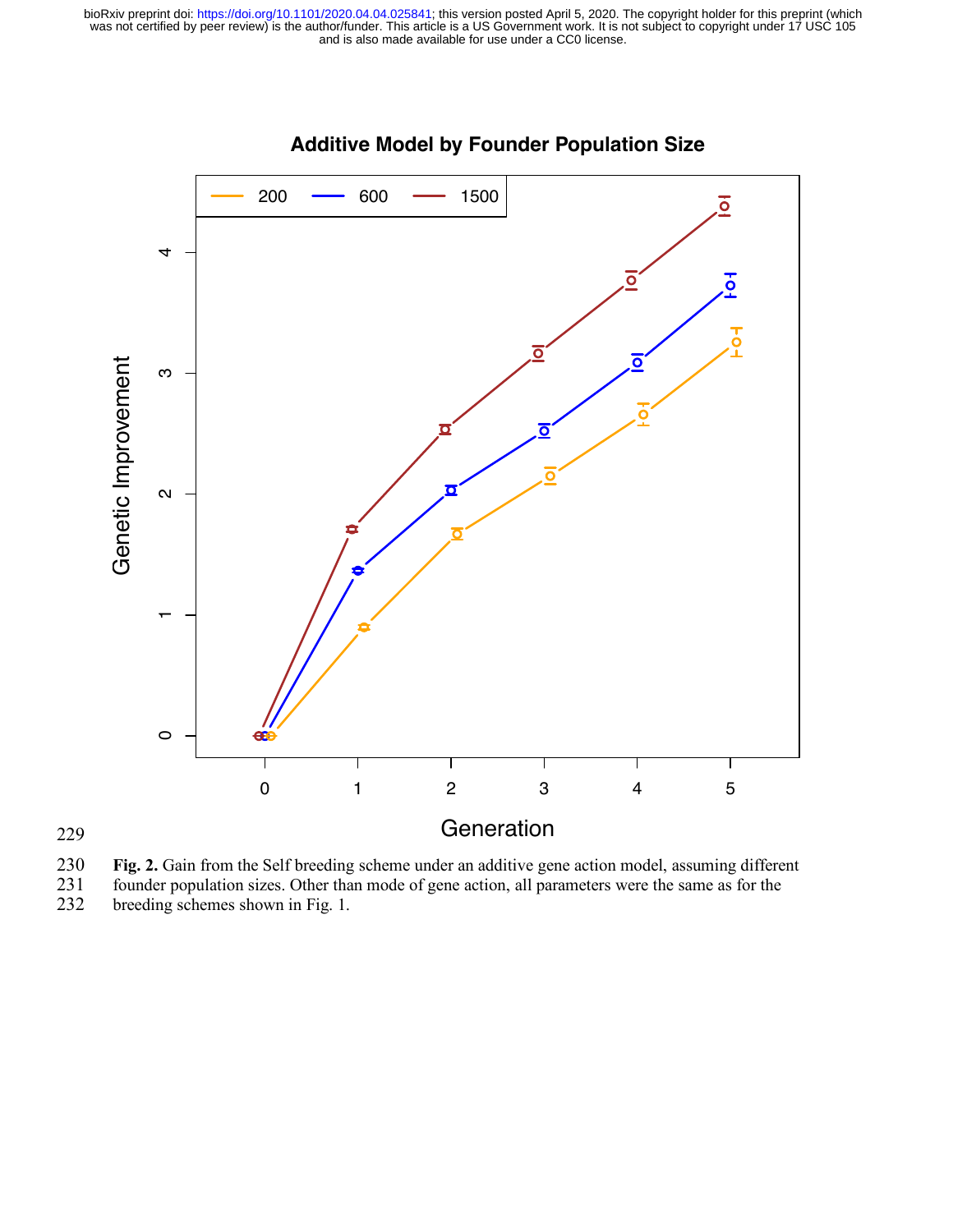

# **Additive Model by Founder Population Size**

230 **Fig. 2.** Gain from the Self breeding scheme under an additive gene action model, assuming different founder population sizes. Other than mode of gene action, all parameters were the same as for the

229

231 founder population sizes. Other than mode of gene action, all parameters were the same as for the breeding schemes shown in Fig. 1. breeding schemes shown in Fig. 1.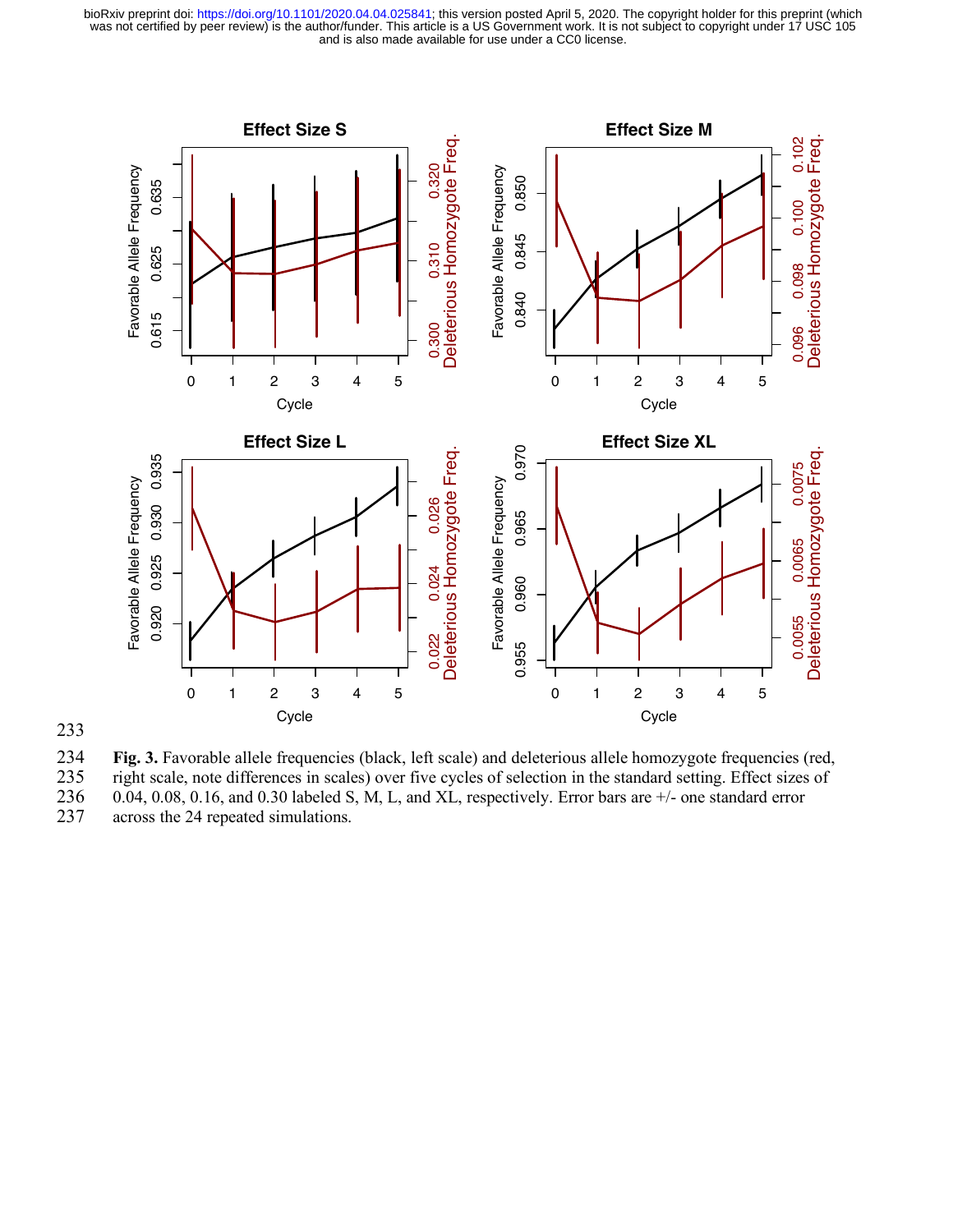



234 **Fig. 3.** Favorable allele frequencies (black, left scale) and deleterious allele homozygote frequencies (red,

235 right scale, note differences in scales) over five cycles of selection in the standard setting. Effect sizes of  $0.04$ ,  $0.08$ ,  $0.16$ , and  $0.30$  labeled S, M, L, and XL, respectively. Error bars are  $+\prime$ - one standar 236 0.04, 0.08, 0.16, and 0.30 labeled S, M, L, and XL, respectively. Error bars are  $+/-$  one standard error across the 24 repeated simulations.

across the 24 repeated simulations.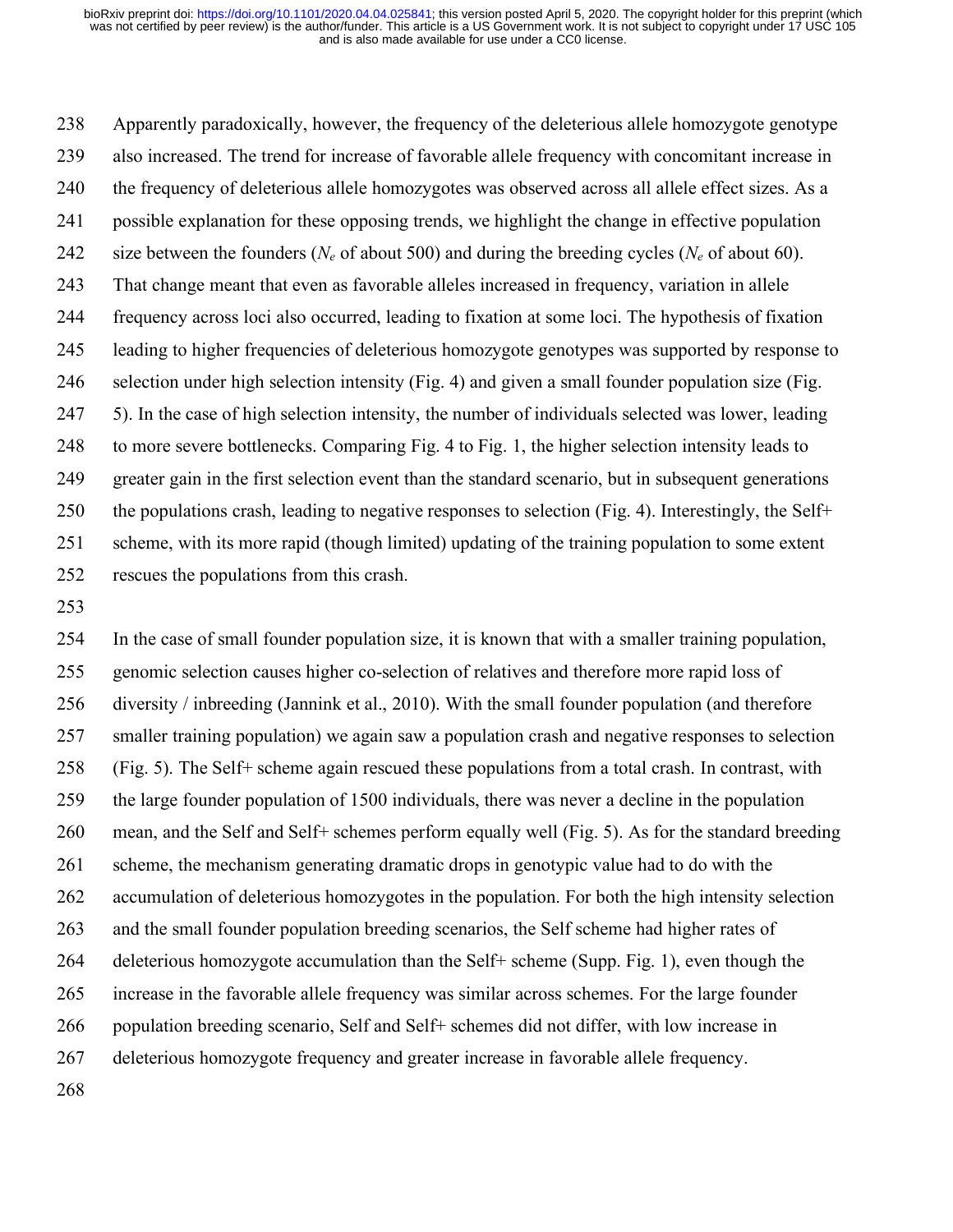Apparently paradoxically, however, the frequency of the deleterious allele homozygote genotype also increased. The trend for increase of favorable allele frequency with concomitant increase in the frequency of deleterious allele homozygotes was observed across all allele effect sizes. As a possible explanation for these opposing trends, we highlight the change in effective population size between the founders (*Ne* of about 500) and during the breeding cycles (*Ne* of about 60). That change meant that even as favorable alleles increased in frequency, variation in allele frequency across loci also occurred, leading to fixation at some loci. The hypothesis of fixation leading to higher frequencies of deleterious homozygote genotypes was supported by response to selection under high selection intensity (Fig. 4) and given a small founder population size (Fig. 5). In the case of high selection intensity, the number of individuals selected was lower, leading to more severe bottlenecks. Comparing Fig. 4 to Fig. 1, the higher selection intensity leads to greater gain in the first selection event than the standard scenario, but in subsequent generations the populations crash, leading to negative responses to selection (Fig. 4). Interestingly, the Self+ scheme, with its more rapid (though limited) updating of the training population to some extent rescues the populations from this crash.

 In the case of small founder population size, it is known that with a smaller training population, genomic selection causes higher co-selection of relatives and therefore more rapid loss of diversity / inbreeding (Jannink et al., 2010). With the small founder population (and therefore smaller training population) we again saw a population crash and negative responses to selection (Fig. 5). The Self+ scheme again rescued these populations from a total crash. In contrast, with the large founder population of 1500 individuals, there was never a decline in the population mean, and the Self and Self+ schemes perform equally well (Fig. 5). As for the standard breeding scheme, the mechanism generating dramatic drops in genotypic value had to do with the accumulation of deleterious homozygotes in the population. For both the high intensity selection and the small founder population breeding scenarios, the Self scheme had higher rates of deleterious homozygote accumulation than the Self+ scheme (Supp. Fig. 1), even though the increase in the favorable allele frequency was similar across schemes. For the large founder population breeding scenario, Self and Self+ schemes did not differ, with low increase in deleterious homozygote frequency and greater increase in favorable allele frequency.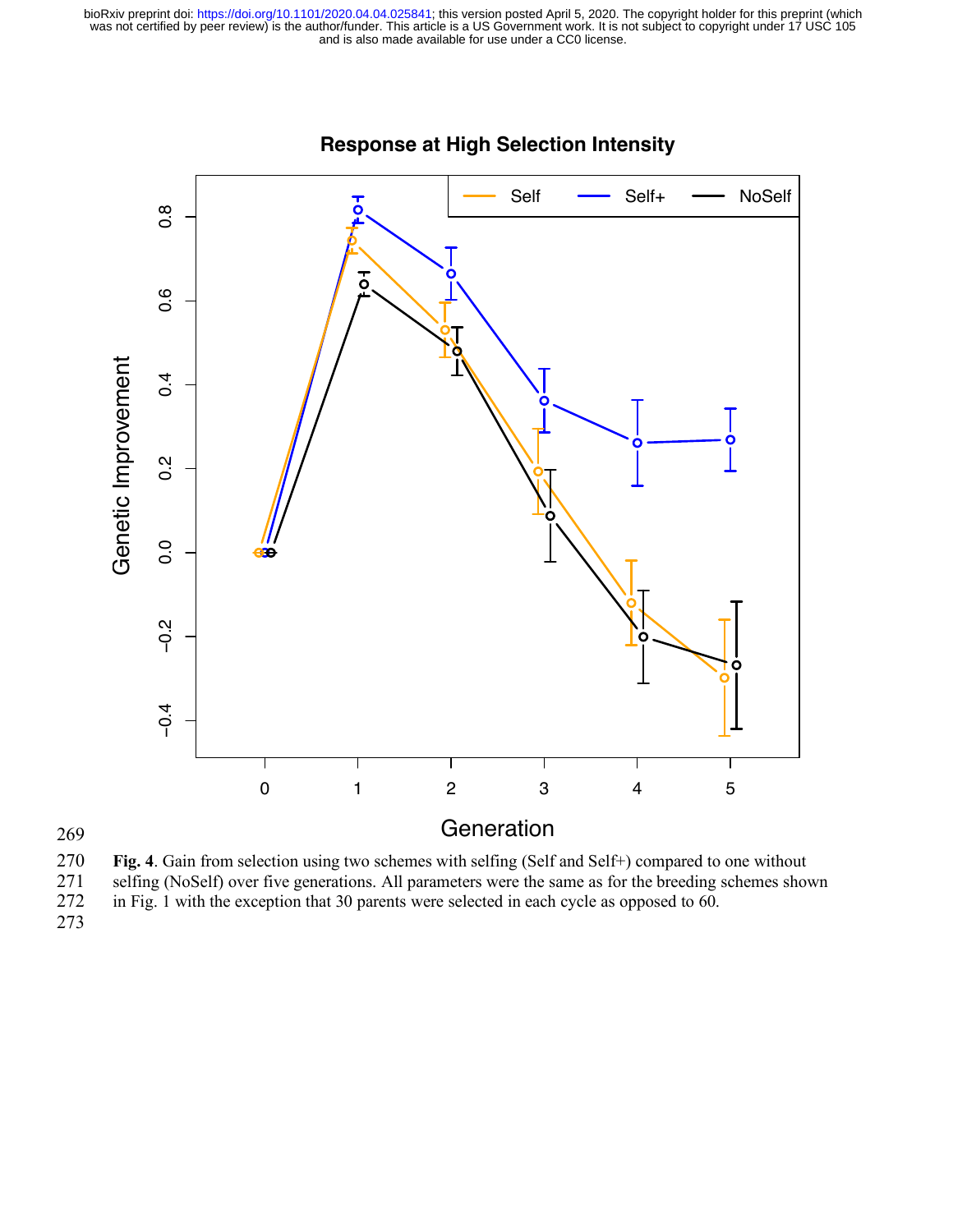

# **Response at High Selection Intensity**

270 **Fig. 4**. Gain from selection using two schemes with selfing (Self and Self+) compared to one without 271 selfing (NoSelf) over five generations. All parameters were the same as for the breeding schemes shown in Fig. 1 with the exception that 30 parents were selected in each cycle as opposed to 60. in Fig. 1 with the exception that 30 parents were selected in each cycle as opposed to  $60$ .

273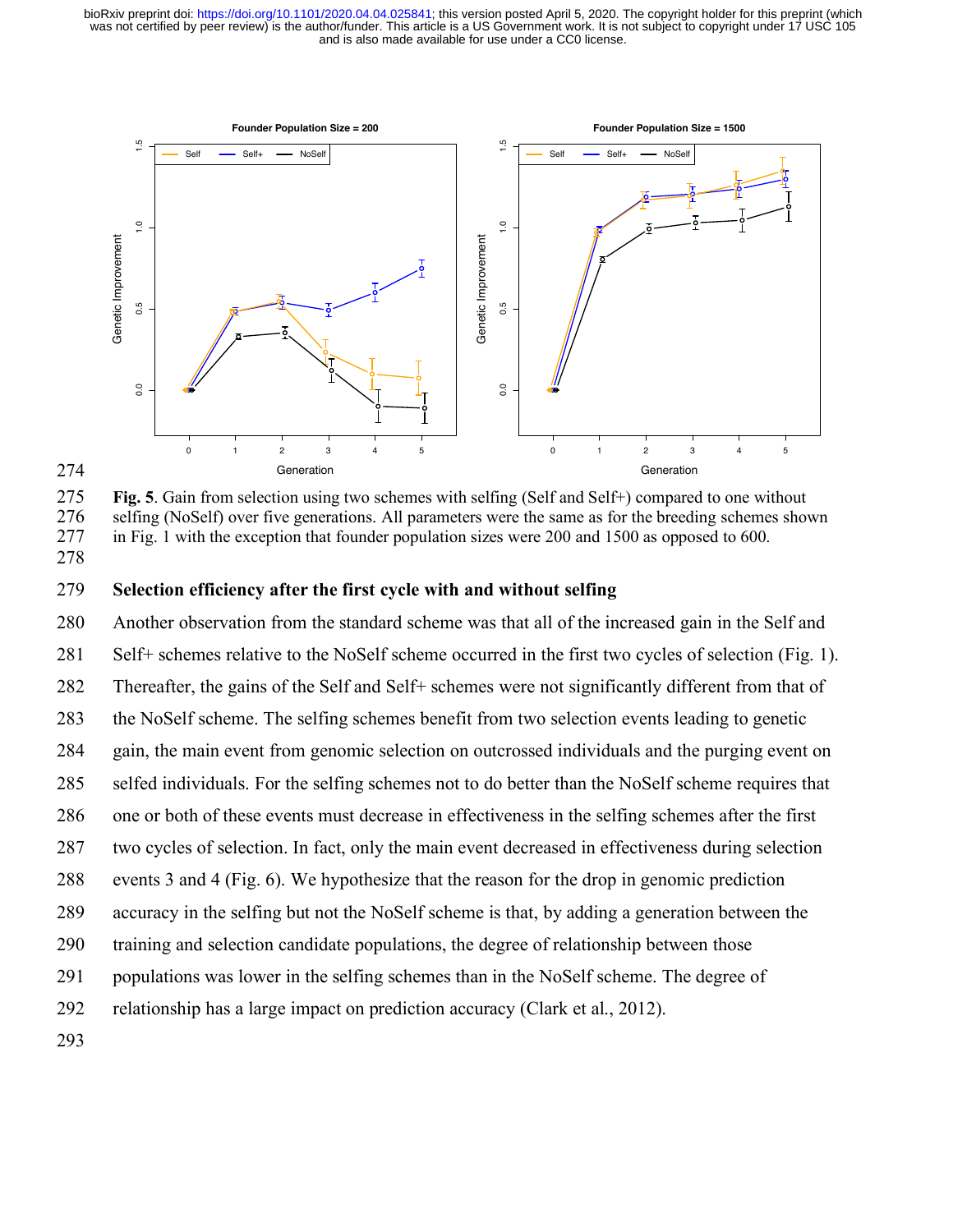

274

275 **Fig. 5**. Gain from selection using two schemes with selfing (Self and Self+) compared to one without selfing (NoSelf) over five generations. All parameters were the same as for the breeding schemes show 276 selfing (NoSelf) over five generations. All parameters were the same as for the breeding schemes shown 277 in Fig. 1 with the exception that founder population sizes were 200 and 1500 as opposed to 600. 278

## 279 **Selection efficiency after the first cycle with and without selfing**

 Another observation from the standard scheme was that all of the increased gain in the Self and Self+ schemes relative to the NoSelf scheme occurred in the first two cycles of selection (Fig. 1). Thereafter, the gains of the Self and Self+ schemes were not significantly different from that of the NoSelf scheme. The selfing schemes benefit from two selection events leading to genetic gain, the main event from genomic selection on outcrossed individuals and the purging event on selfed individuals. For the selfing schemes not to do better than the NoSelf scheme requires that one or both of these events must decrease in effectiveness in the selfing schemes after the first two cycles of selection. In fact, only the main event decreased in effectiveness during selection events 3 and 4 (Fig. 6). We hypothesize that the reason for the drop in genomic prediction accuracy in the selfing but not the NoSelf scheme is that, by adding a generation between the training and selection candidate populations, the degree of relationship between those populations was lower in the selfing schemes than in the NoSelf scheme. The degree of relationship has a large impact on prediction accuracy (Clark et al., 2012). 293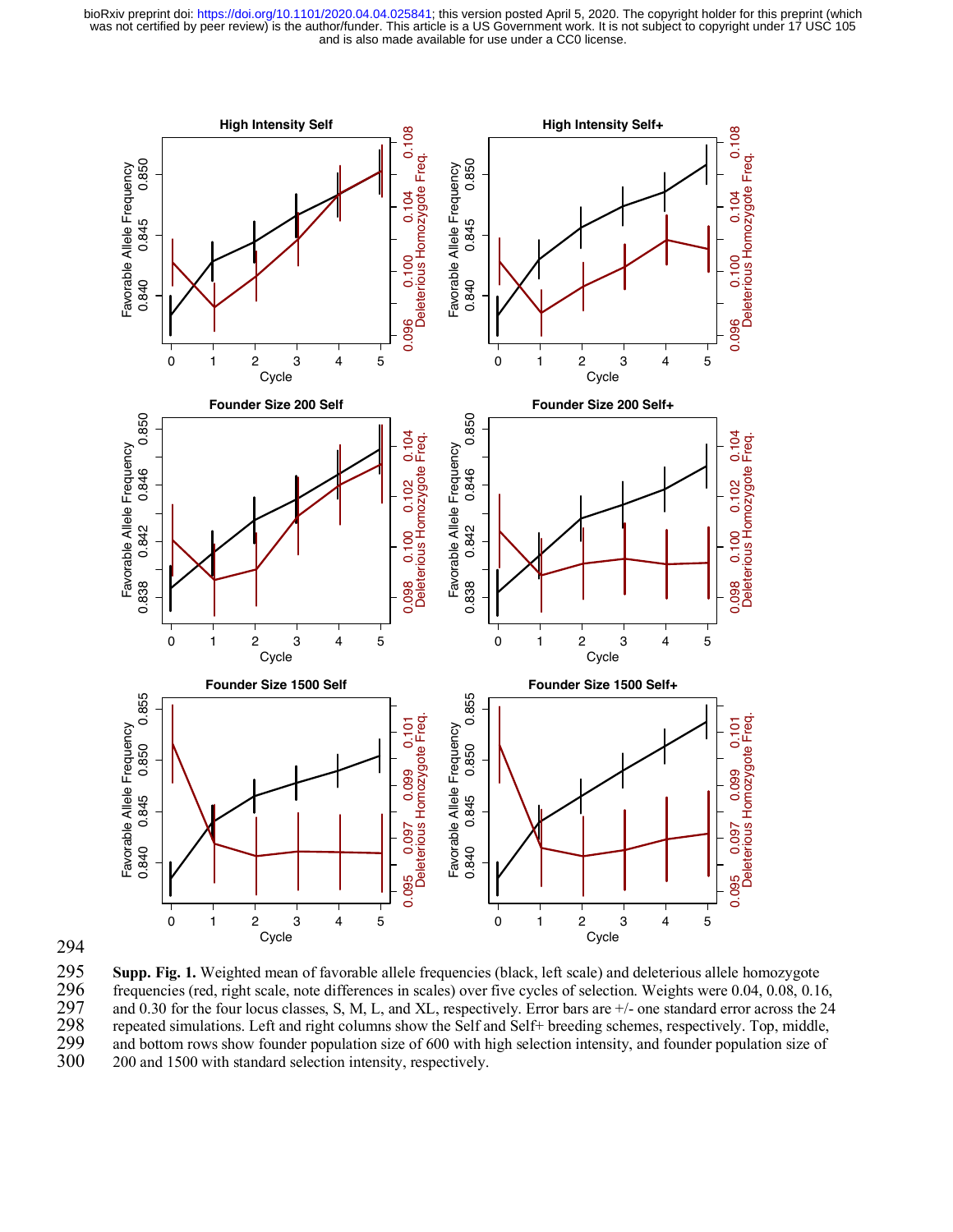



**Supp. Fig. 1.** Weighted mean of favorable allele frequencies (black, left scale) and deleterious allele homozygote frequencies (red, right scale, note differences in scales) over five cycles of selection. Weights were 0.0 296 frequencies (red, right scale, note differences in scales) over five cycles of selection. Weights were 0.04, 0.08, 0.16, 297 and 0.30 for the four locus classes, S, M, L, and XL, respectively. Error bars are  $+\prime$ - one standard error across the 24 repeated simulations. Left and right columns show the Self and Self+ breeding schemes, respectiv 298 repeated simulations. Left and right columns show the Self and Self+ breeding schemes, respectively. Top, middle, and bottom rows show founder population size of 600 with high selection intensity, and founder populatio 299 and bottom rows show founder population size of 600 with high selection intensity, and founder population size of 300 and 1500 with standard selection intensity, respectively. 300 200 and 1500 with standard selection intensity, respectively.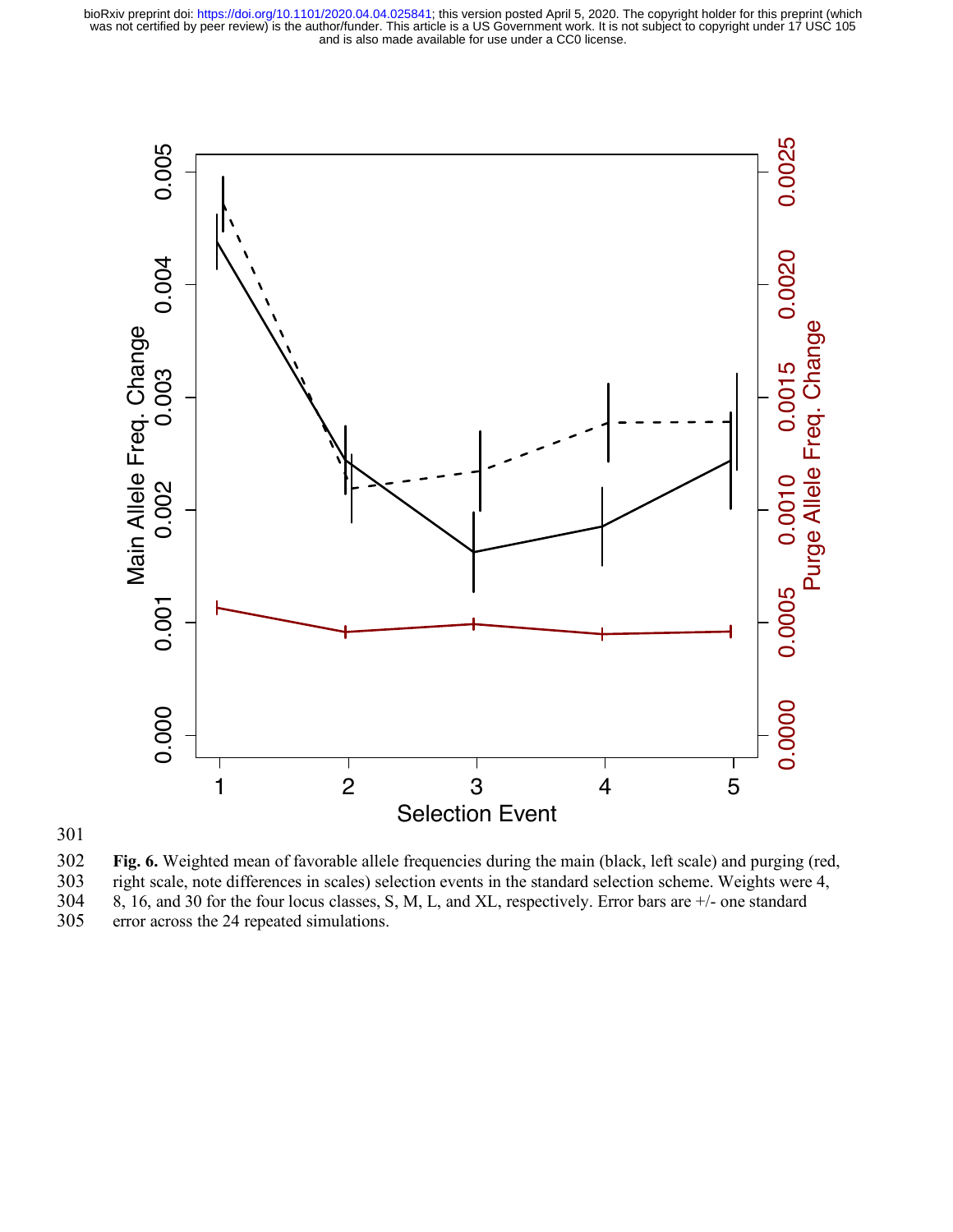

## 301

302 **Fig. 6.** Weighted mean of favorable allele frequencies during the main (black, left scale) and purging (red, 303 right scale, note differences in scales) selection events in the standard selection scheme. Weights were 4, 304 8, 16, and 30 for the four locus classes, S, M, L, and XL, respectively. Error bars are  $+/-$  one standard 304 8, 16, and 30 for the four locus classes, S, M, L, and XL, respectively. Error bars are  $+/-$  one standard error across the 24 repeated simulations.

error across the 24 repeated simulations.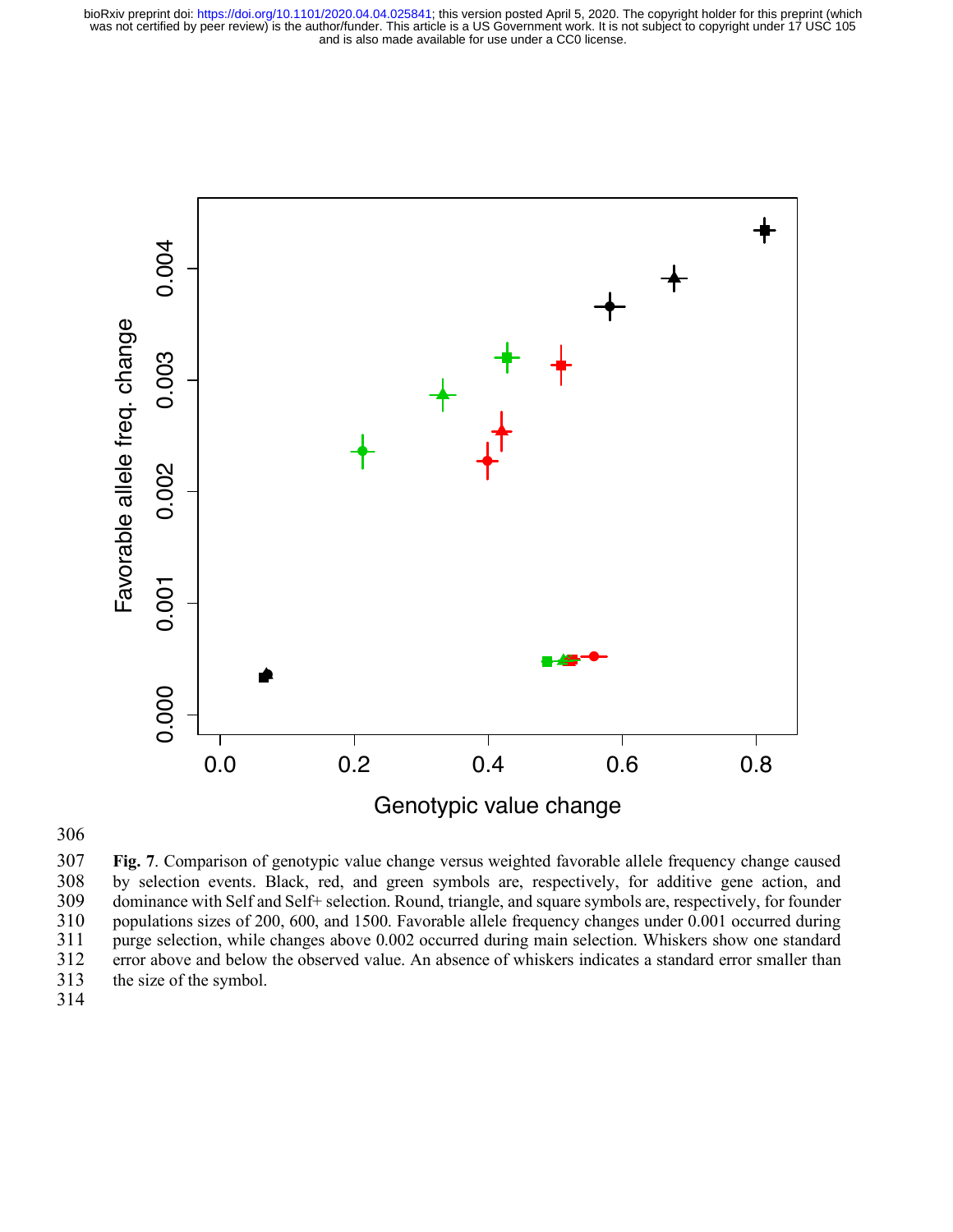

306

307 **Fig. 7**. Comparison of genotypic value change versus weighted favorable allele frequency change caused 308 by selection events. Black, red, and green symbols are, respectively, for additive gene action, and dominance with Self and Self+ selection. Round, triangle, and square symbols are, respectively, for founder dominance with Self and Self+ selection. Round, triangle, and square symbols are, respectively, for founder 310 populations sizes of 200, 600, and 1500. Favorable allele frequency changes under 0.001 occurred during 311 purge selection, while changes above 0.002 occurred during main selection. Whiskers show one standard error above and below the observed value. An absence of whiskers indicates a standard error smaller than 312 error above and below the observed value. An absence of whiskers indicates a standard error smaller than 313 the size of the symbol.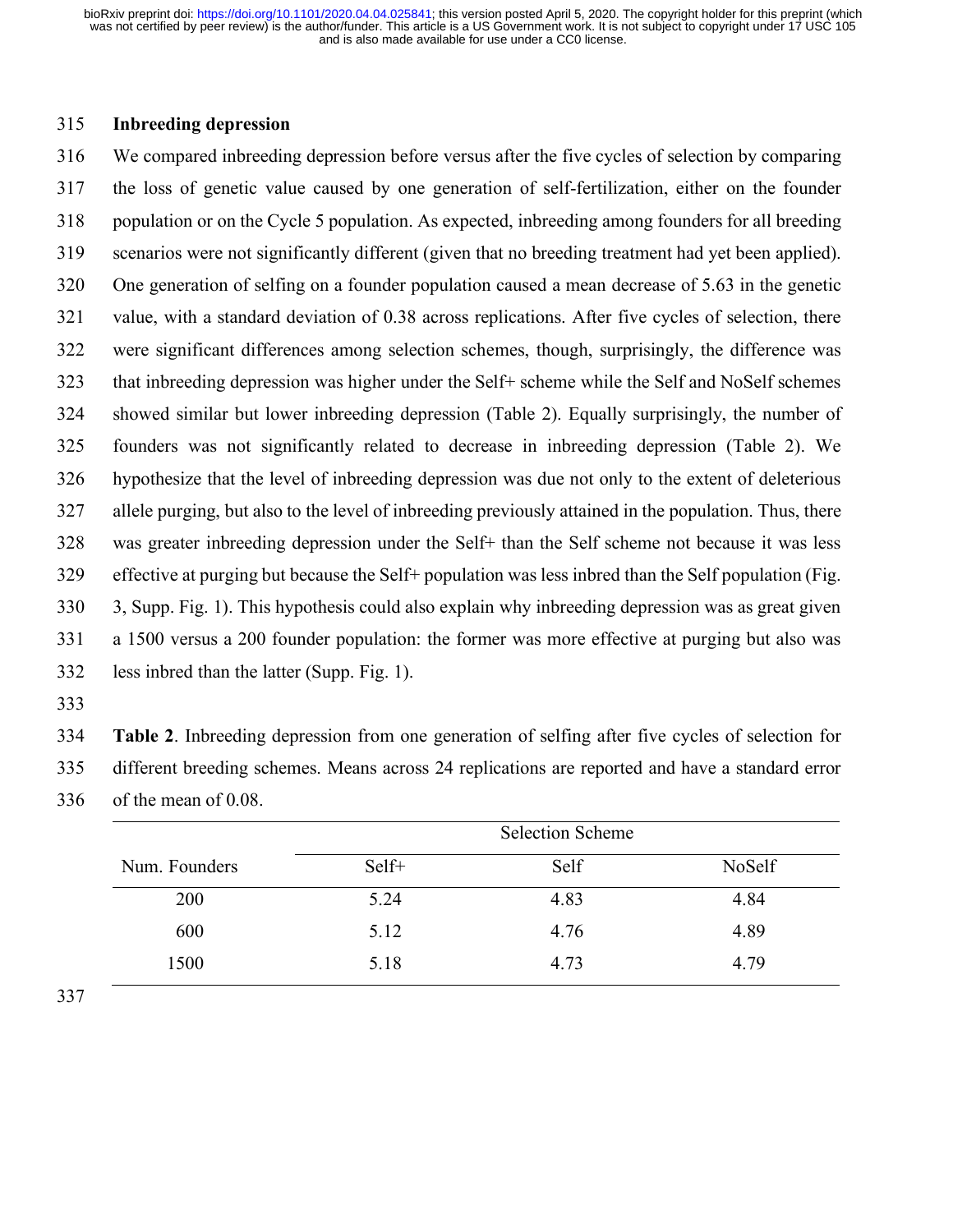### **Inbreeding depression**

 We compared inbreeding depression before versus after the five cycles of selection by comparing the loss of genetic value caused by one generation of self-fertilization, either on the founder population or on the Cycle 5 population. As expected, inbreeding among founders for all breeding scenarios were not significantly different (given that no breeding treatment had yet been applied). One generation of selfing on a founder population caused a mean decrease of 5.63 in the genetic value, with a standard deviation of 0.38 across replications. After five cycles of selection, there were significant differences among selection schemes, though, surprisingly, the difference was that inbreeding depression was higher under the Self+ scheme while the Self and NoSelf schemes showed similar but lower inbreeding depression (Table 2). Equally surprisingly, the number of founders was not significantly related to decrease in inbreeding depression (Table 2). We hypothesize that the level of inbreeding depression was due not only to the extent of deleterious allele purging, but also to the level of inbreeding previously attained in the population. Thus, there was greater inbreeding depression under the Self+ than the Self scheme not because it was less effective at purging but because the Self+ population was less inbred than the Self population (Fig. 3, Supp. Fig. 1). This hypothesis could also explain why inbreeding depression was as great given a 1500 versus a 200 founder population: the former was more effective at purging but also was less inbred than the latter (Supp. Fig. 1).

 **Table 2**. Inbreeding depression from one generation of selfing after five cycles of selection for different breeding schemes. Means across 24 replications are reported and have a standard error of the mean of 0.08.

|               | <b>Selection Scheme</b> |      |        |  |  |
|---------------|-------------------------|------|--------|--|--|
| Num. Founders | Self+                   | Self | NoSelf |  |  |
| 200           | 5.24                    | 4.83 | 4.84   |  |  |
| 600           | 5.12                    | 4.76 | 4.89   |  |  |
| 1500          | 5.18                    | 4.73 | 4.79   |  |  |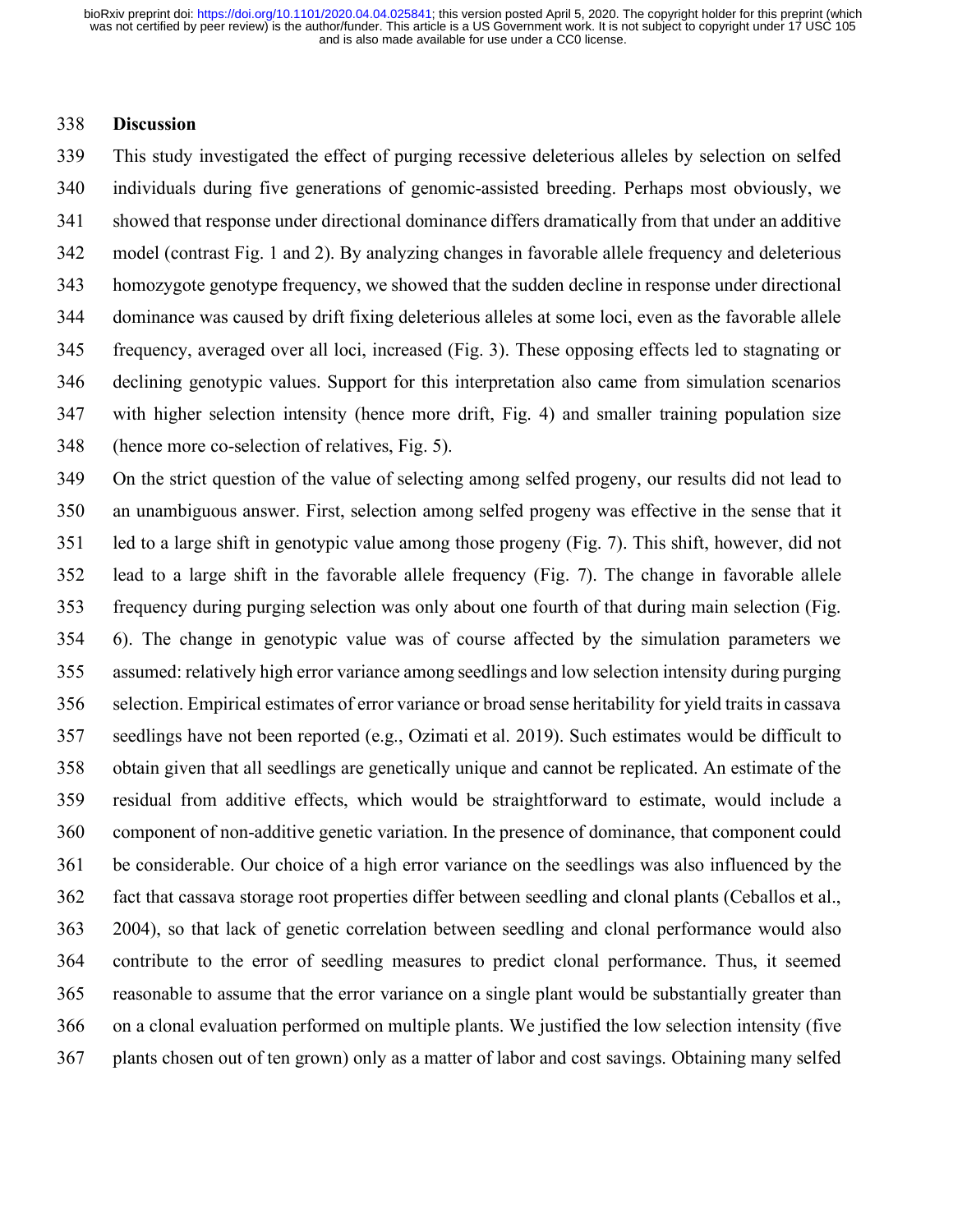### **Discussion**

 This study investigated the effect of purging recessive deleterious alleles by selection on selfed individuals during five generations of genomic-assisted breeding. Perhaps most obviously, we showed that response under directional dominance differs dramatically from that under an additive model (contrast Fig. 1 and 2). By analyzing changes in favorable allele frequency and deleterious homozygote genotype frequency, we showed that the sudden decline in response under directional dominance was caused by drift fixing deleterious alleles at some loci, even as the favorable allele frequency, averaged over all loci, increased (Fig. 3). These opposing effects led to stagnating or declining genotypic values. Support for this interpretation also came from simulation scenarios with higher selection intensity (hence more drift, Fig. 4) and smaller training population size (hence more co-selection of relatives, Fig. 5).

 On the strict question of the value of selecting among selfed progeny, our results did not lead to an unambiguous answer. First, selection among selfed progeny was effective in the sense that it led to a large shift in genotypic value among those progeny (Fig. 7). This shift, however, did not lead to a large shift in the favorable allele frequency (Fig. 7). The change in favorable allele frequency during purging selection was only about one fourth of that during main selection (Fig. 6). The change in genotypic value was of course affected by the simulation parameters we assumed: relatively high error variance among seedlings and low selection intensity during purging selection. Empirical estimates of error variance or broad sense heritability for yield traits in cassava seedlings have not been reported (e.g., Ozimati et al. 2019). Such estimates would be difficult to obtain given that all seedlings are genetically unique and cannot be replicated. An estimate of the residual from additive effects, which would be straightforward to estimate, would include a component of non-additive genetic variation. In the presence of dominance, that component could be considerable. Our choice of a high error variance on the seedlings was also influenced by the fact that cassava storage root properties differ between seedling and clonal plants (Ceballos et al., 2004), so that lack of genetic correlation between seedling and clonal performance would also contribute to the error of seedling measures to predict clonal performance. Thus, it seemed reasonable to assume that the error variance on a single plant would be substantially greater than on a clonal evaluation performed on multiple plants. We justified the low selection intensity (five plants chosen out of ten grown) only as a matter of labor and cost savings. Obtaining many selfed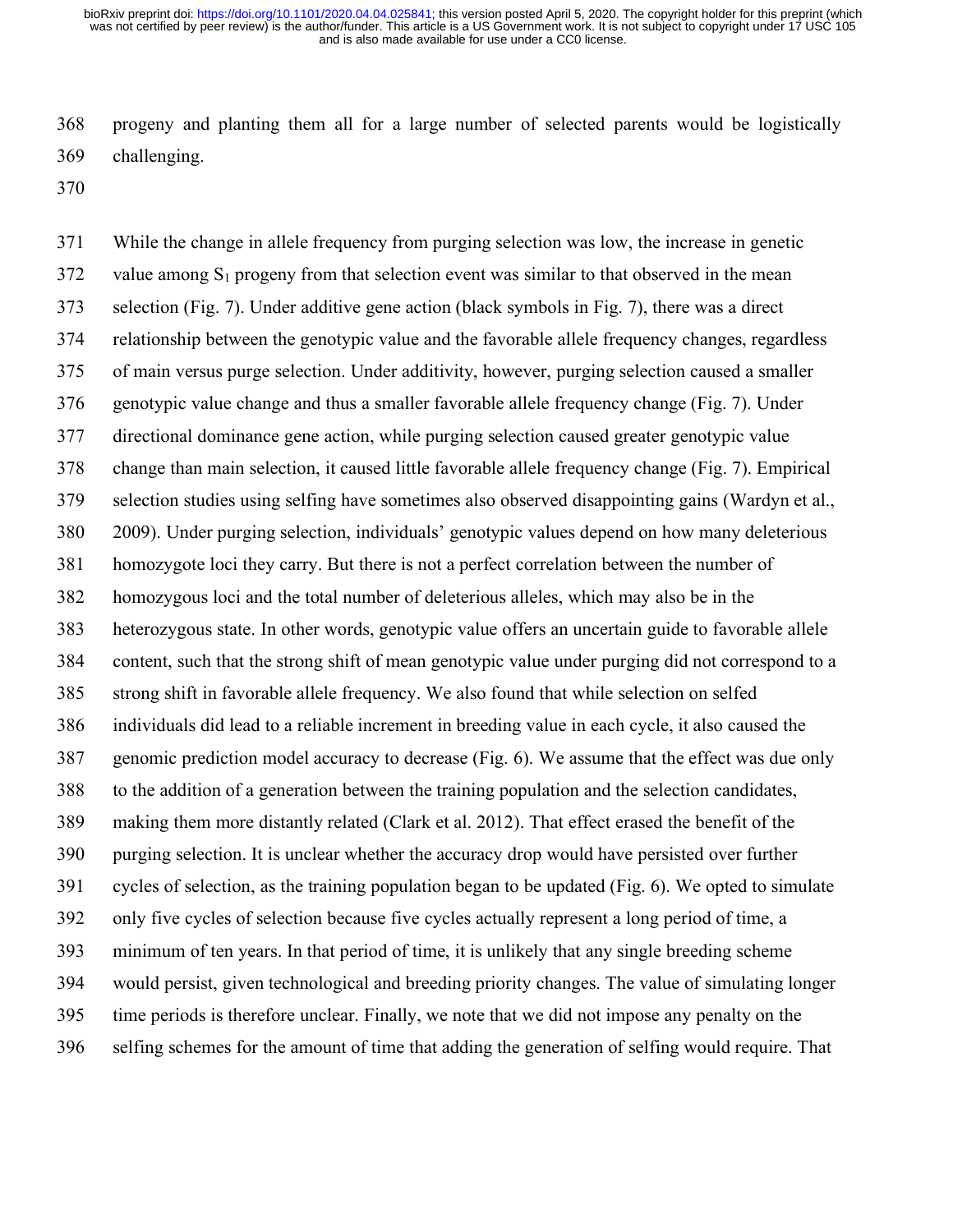progeny and planting them all for a large number of selected parents would be logistically challenging.

 While the change in allele frequency from purging selection was low, the increase in genetic value among S<sub>1</sub> progeny from that selection event was similar to that observed in the mean selection (Fig. 7). Under additive gene action (black symbols in Fig. 7), there was a direct relationship between the genotypic value and the favorable allele frequency changes, regardless of main versus purge selection. Under additivity, however, purging selection caused a smaller genotypic value change and thus a smaller favorable allele frequency change (Fig. 7). Under directional dominance gene action, while purging selection caused greater genotypic value change than main selection, it caused little favorable allele frequency change (Fig. 7). Empirical selection studies using selfing have sometimes also observed disappointing gains (Wardyn et al., 2009). Under purging selection, individuals' genotypic values depend on how many deleterious homozygote loci they carry. But there is not a perfect correlation between the number of homozygous loci and the total number of deleterious alleles, which may also be in the heterozygous state. In other words, genotypic value offers an uncertain guide to favorable allele content, such that the strong shift of mean genotypic value under purging did not correspond to a strong shift in favorable allele frequency. We also found that while selection on selfed individuals did lead to a reliable increment in breeding value in each cycle, it also caused the genomic prediction model accuracy to decrease (Fig. 6). We assume that the effect was due only to the addition of a generation between the training population and the selection candidates, making them more distantly related (Clark et al. 2012). That effect erased the benefit of the purging selection. It is unclear whether the accuracy drop would have persisted over further cycles of selection, as the training population began to be updated (Fig. 6). We opted to simulate only five cycles of selection because five cycles actually represent a long period of time, a minimum of ten years. In that period of time, it is unlikely that any single breeding scheme would persist, given technological and breeding priority changes. The value of simulating longer time periods is therefore unclear. Finally, we note that we did not impose any penalty on the selfing schemes for the amount of time that adding the generation of selfing would require. That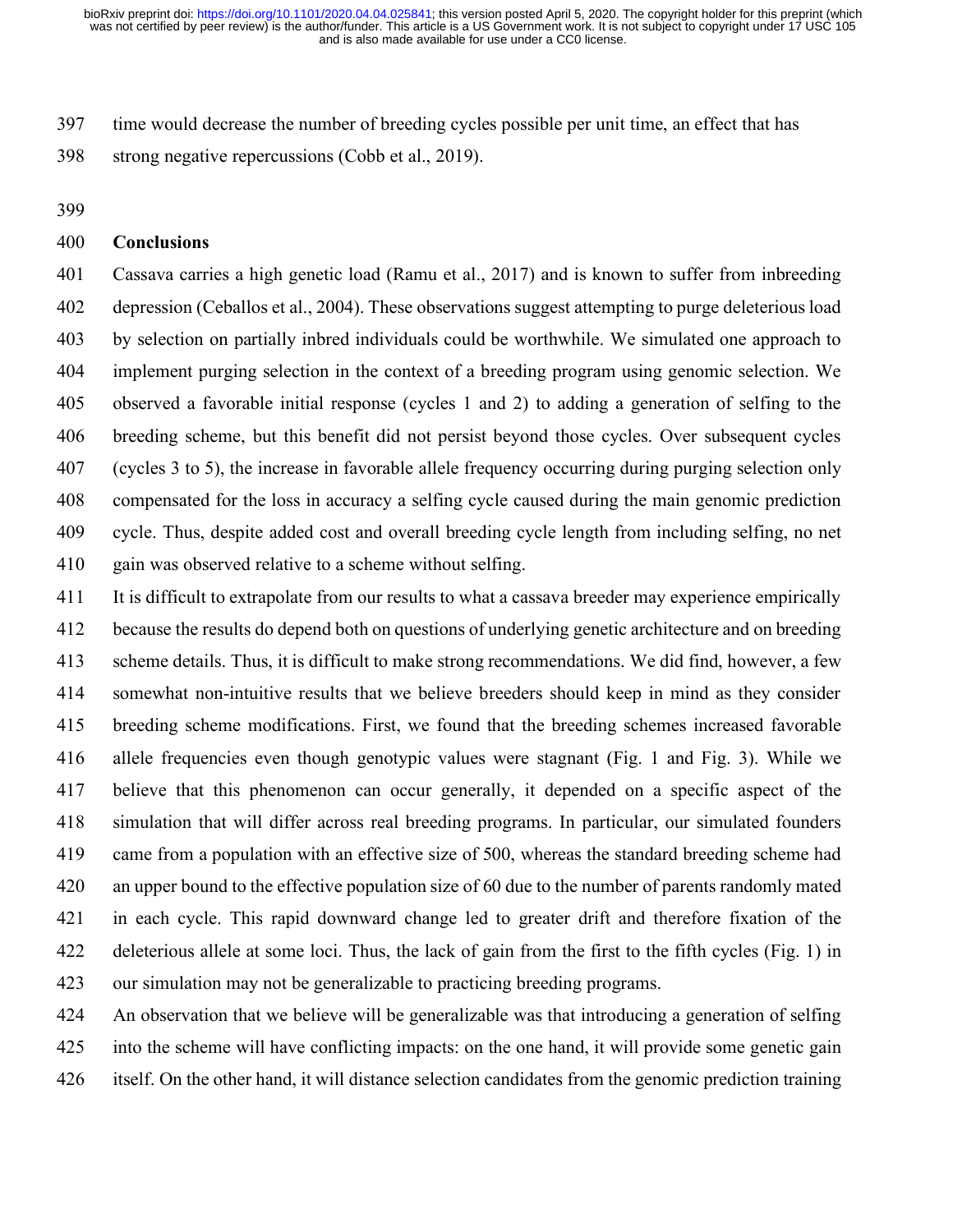time would decrease the number of breeding cycles possible per unit time, an effect that has strong negative repercussions (Cobb et al., 2019).

### **Conclusions**

 Cassava carries a high genetic load (Ramu et al., 2017) and is known to suffer from inbreeding depression (Ceballos et al., 2004). These observations suggest attempting to purge deleterious load by selection on partially inbred individuals could be worthwhile. We simulated one approach to implement purging selection in the context of a breeding program using genomic selection. We observed a favorable initial response (cycles 1 and 2) to adding a generation of selfing to the breeding scheme, but this benefit did not persist beyond those cycles. Over subsequent cycles (cycles 3 to 5), the increase in favorable allele frequency occurring during purging selection only compensated for the loss in accuracy a selfing cycle caused during the main genomic prediction cycle. Thus, despite added cost and overall breeding cycle length from including selfing, no net gain was observed relative to a scheme without selfing.

 It is difficult to extrapolate from our results to what a cassava breeder may experience empirically because the results do depend both on questions of underlying genetic architecture and on breeding scheme details. Thus, it is difficult to make strong recommendations. We did find, however, a few somewhat non-intuitive results that we believe breeders should keep in mind as they consider breeding scheme modifications. First, we found that the breeding schemes increased favorable allele frequencies even though genotypic values were stagnant (Fig. 1 and Fig. 3). While we believe that this phenomenon can occur generally, it depended on a specific aspect of the simulation that will differ across real breeding programs. In particular, our simulated founders came from a population with an effective size of 500, whereas the standard breeding scheme had an upper bound to the effective population size of 60 due to the number of parents randomly mated in each cycle. This rapid downward change led to greater drift and therefore fixation of the deleterious allele at some loci. Thus, the lack of gain from the first to the fifth cycles (Fig. 1) in our simulation may not be generalizable to practicing breeding programs.

 An observation that we believe will be generalizable was that introducing a generation of selfing into the scheme will have conflicting impacts: on the one hand, it will provide some genetic gain itself. On the other hand, it will distance selection candidates from the genomic prediction training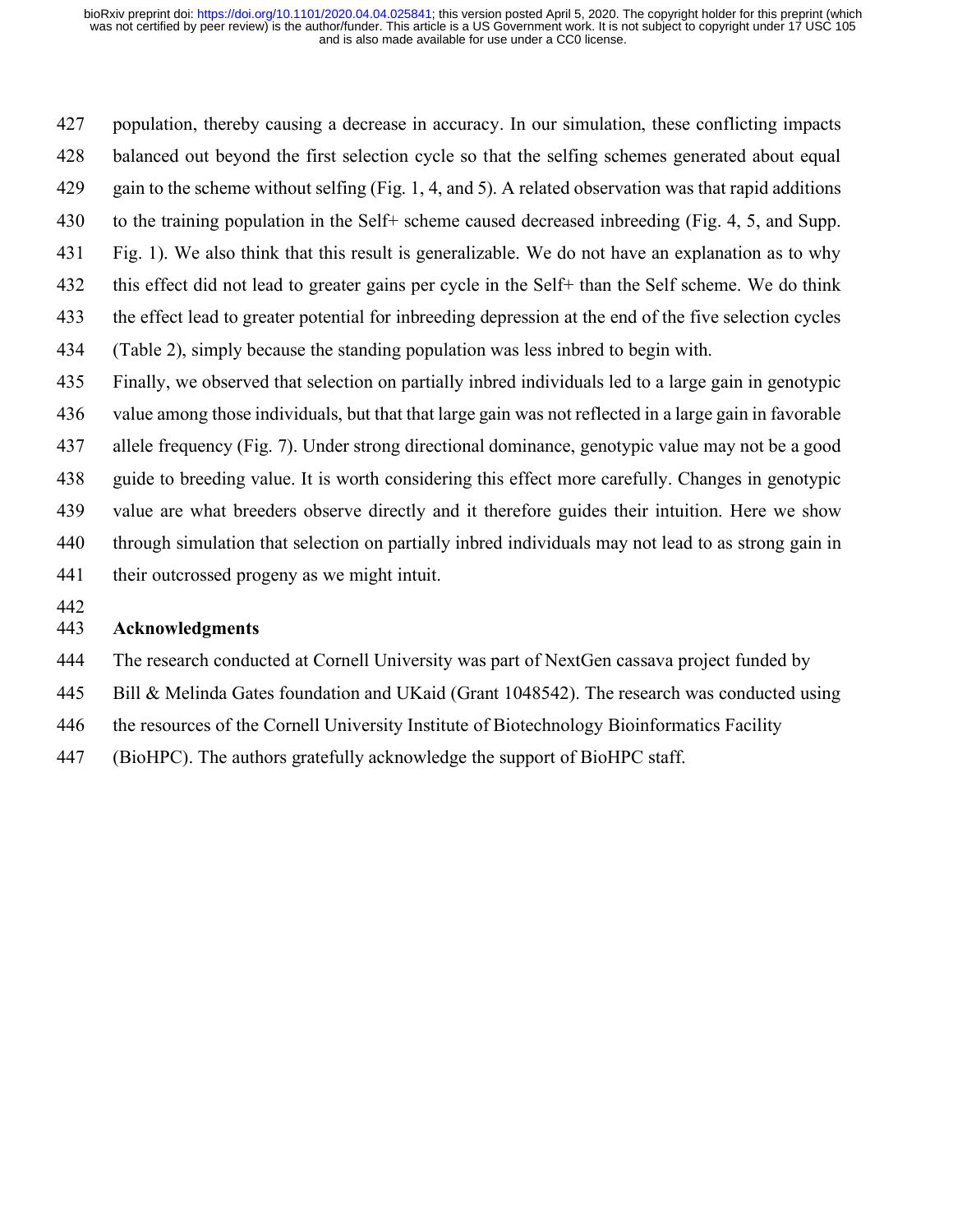population, thereby causing a decrease in accuracy. In our simulation, these conflicting impacts balanced out beyond the first selection cycle so that the selfing schemes generated about equal gain to the scheme without selfing (Fig. 1, 4, and 5). A related observation was that rapid additions to the training population in the Self+ scheme caused decreased inbreeding (Fig. 4, 5, and Supp. Fig. 1). We also think that this result is generalizable. We do not have an explanation as to why 432 this effect did not lead to greater gains per cycle in the Self+ than the Self scheme. We do think the effect lead to greater potential for inbreeding depression at the end of the five selection cycles (Table 2), simply because the standing population was less inbred to begin with. Finally, we observed that selection on partially inbred individuals led to a large gain in genotypic value among those individuals, but that that large gain was not reflected in a large gain in favorable allele frequency (Fig. 7). Under strong directional dominance, genotypic value may not be a good

 guide to breeding value. It is worth considering this effect more carefully. Changes in genotypic value are what breeders observe directly and it therefore guides their intuition. Here we show through simulation that selection on partially inbred individuals may not lead to as strong gain in their outcrossed progeny as we might intuit.

### **Acknowledgments**

The research conducted at Cornell University was part of NextGen cassava project funded by

Bill & Melinda Gates foundation and UKaid (Grant 1048542). The research was conducted using

the resources of the Cornell University Institute of Biotechnology Bioinformatics Facility

(BioHPC). The authors gratefully acknowledge the support of BioHPC staff.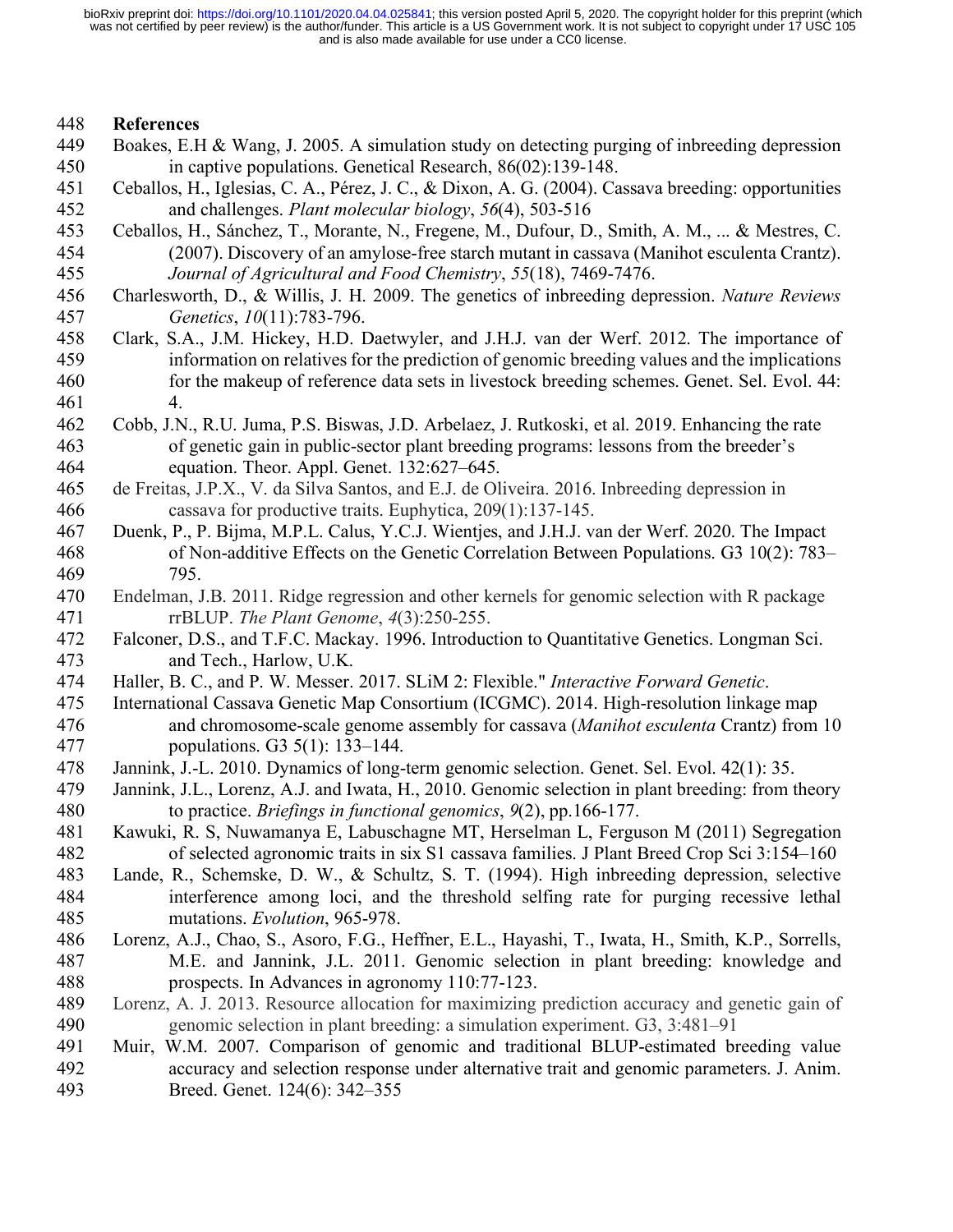### **References**

- Boakes, E.H & Wang, J. 2005. A simulation study on detecting purging of inbreeding depression in captive populations. Genetical Research, 86(02):139-148.
- Ceballos, H., Iglesias, C. A., Pérez, J. C., & Dixon, A. G. (2004). Cassava breeding: opportunities and challenges. *Plant molecular biology*, *56*(4), 503-516
- Ceballos, H., Sánchez, T., Morante, N., Fregene, M., Dufour, D., Smith, A. M., ... & Mestres, C. (2007). Discovery of an amylose-free starch mutant in cassava (Manihot esculenta Crantz). *Journal of Agricultural and Food Chemistry*, *55*(18), 7469-7476.
- Charlesworth, D., & Willis, J. H. 2009. The genetics of inbreeding depression. *Nature Reviews Genetics*, *10*(11):783-796.
- Clark, S.A., J.M. Hickey, H.D. Daetwyler, and J.H.J. van der Werf. 2012. The importance of information on relatives for the prediction of genomic breeding values and the implications for the makeup of reference data sets in livestock breeding schemes. Genet. Sel. Evol. 44: 461 4.
- Cobb, J.N., R.U. Juma, P.S. Biswas, J.D. Arbelaez, J. Rutkoski, et al. 2019. Enhancing the rate of genetic gain in public-sector plant breeding programs: lessons from the breeder's equation. Theor. Appl. Genet. 132:627–645.
- de Freitas, J.P.X., V. da Silva Santos, and E.J. de Oliveira. 2016. Inbreeding depression in cassava for productive traits. Euphytica, 209(1):137-145.
- Duenk, P., P. Bijma, M.P.L. Calus, Y.C.J. Wientjes, and J.H.J. van der Werf. 2020. The Impact of Non-additive Effects on the Genetic Correlation Between Populations. G3 10(2): 783– 795.
- Endelman, J.B. 2011. Ridge regression and other kernels for genomic selection with R package rrBLUP. *The Plant Genome*, *4*(3):250-255.
- Falconer, D.S., and T.F.C. Mackay. 1996. Introduction to Quantitative Genetics. Longman Sci. and Tech., Harlow, U.K.
- Haller, B. C., and P. W. Messer. 2017. SLiM 2: Flexible." *Interactive Forward Genetic*.
- International Cassava Genetic Map Consortium (ICGMC). 2014. High-resolution linkage map and chromosome-scale genome assembly for cassava (*Manihot esculenta* Crantz) from 10 populations. G3 5(1): 133–144.
- Jannink, J.-L. 2010. Dynamics of long-term genomic selection. Genet. Sel. Evol. 42(1): 35.
- Jannink, J.L., Lorenz, A.J. and Iwata, H., 2010. Genomic selection in plant breeding: from theory to practice. *Briefings in functional genomics*, *9*(2), pp.166-177.
- Kawuki, R. S, Nuwamanya E, Labuschagne MT, Herselman L, Ferguson M (2011) Segregation of selected agronomic traits in six S1 cassava families. J Plant Breed Crop Sci 3:154–160
- Lande, R., Schemske, D. W., & Schultz, S. T. (1994). High inbreeding depression, selective interference among loci, and the threshold selfing rate for purging recessive lethal mutations. *Evolution*, 965-978.
- Lorenz, A.J., Chao, S., Asoro, F.G., Heffner, E.L., Hayashi, T., Iwata, H., Smith, K.P., Sorrells, M.E. and Jannink, J.L. 2011. Genomic selection in plant breeding: knowledge and prospects. In Advances in agronomy 110:77-123.
- Lorenz, A. J. 2013. Resource allocation for maximizing prediction accuracy and genetic gain of genomic selection in plant breeding: a simulation experiment. G3, 3:481–91
- Muir, W.M. 2007. Comparison of genomic and traditional BLUP-estimated breeding value accuracy and selection response under alternative trait and genomic parameters. J. Anim. Breed. Genet. 124(6): 342–355